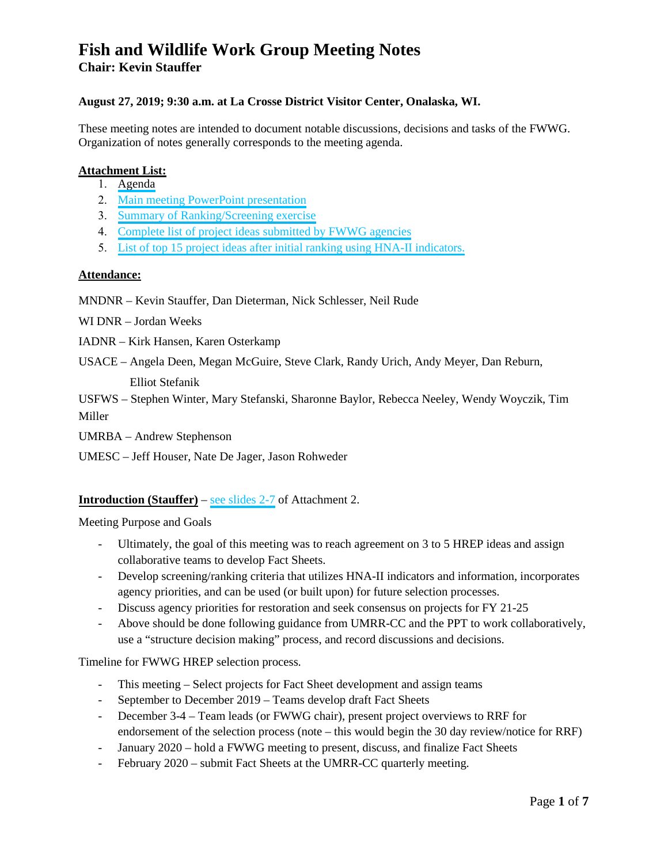### **August 27, 2019; 9:30 a.m. at La Crosse District Visitor Center, Onalaska, WI.**

These meeting notes are intended to document notable discussions, decisions and tasks of the FWWG. Organization of notes generally corresponds to the meeting agenda.

### **Attachment List:**

- 1. [Agenda](#page-7-0)
- 2. [Main meeting PowerPoint](#page-8-0) presentation
- 3. [Summary of Ranking/Screening exercise](#page-21-0)
- 4. Complete list of [project ideas submitted by FWWG agencies](#page-23-0)
- 5. [List of top 15 project ideas after initial ranking using HNA-II indicators.](#page-30-0)

### **Attendance:**

- MNDNR Kevin Stauffer, Dan Dieterman, Nick Schlesser, Neil Rude
- WI DNR Jordan Weeks
- IADNR Kirk Hansen, Karen Osterkamp
- USACE Angela Deen, Megan McGuire, Steve Clark, Randy Urich, Andy Meyer, Dan Reburn, Elliot Stefanik
- USFWS Stephen Winter, Mary Stefanski, Sharonne Baylor, Rebecca Neeley, Wendy Woyczik, Tim Miller
- UMRBA Andrew Stephenson
- UMESC Jeff Houser, Nate De Jager, Jason Rohweder

### **Introduction (Stauffer)** – [see slides 2-7](#page-8-0) of Attachment 2.

Meeting Purpose and Goals

- Ultimately, the goal of this meeting was to reach agreement on 3 to 5 HREP ideas and assign collaborative teams to develop Fact Sheets.
- Develop screening/ranking criteria that utilizes HNA-II indicators and information, incorporates agency priorities, and can be used (or built upon) for future selection processes.
- Discuss agency priorities for restoration and seek consensus on projects for FY 21-25
- Above should be done following guidance from UMRR-CC and the PPT to work collaboratively, use a "structure decision making" process, and record discussions and decisions.

Timeline for FWWG HREP selection process.

- This meeting Select projects for Fact Sheet development and assign teams
- September to December 2019 Teams develop draft Fact Sheets
- December 3-4 Team leads (or FWWG chair), present project overviews to RRF for endorsement of the selection process (note – this would begin the 30 day review/notice for RRF)
- January 2020 hold a FWWG meeting to present, discuss, and finalize Fact Sheets
- February 2020 submit Fact Sheets at the UMRR-CC quarterly meeting.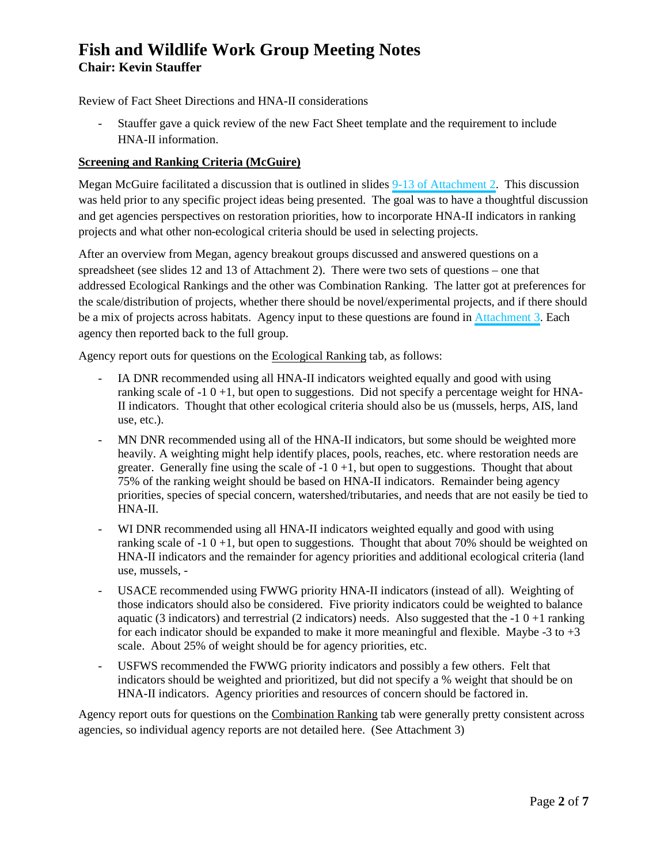Review of Fact Sheet Directions and HNA-II considerations

- Stauffer gave a quick review of the new Fact Sheet template and the requirement to include HNA-II information.

### **Screening and Ranking Criteria (McGuire)**

Megan McGuire facilitated a discussion that is outlined in slides [9-13 of Attachment 2.](#page-11-0) This discussion was held prior to any specific project ideas being presented. The goal was to have a thoughtful discussion and get agencies perspectives on restoration priorities, how to incorporate HNA-II indicators in ranking projects and what other non-ecological criteria should be used in selecting projects.

After an overview from Megan, agency breakout groups discussed and answered questions on a spreadsheet (see slides 12 and 13 of Attachment 2). There were two sets of questions – one that addressed Ecological Rankings and the other was Combination Ranking. The latter got at preferences for the scale/distribution of projects, whether there should be novel/experimental projects, and if there should be a mix of projects across habitats. Agency input to these questions are found in [Attachment 3](#page-21-0). Each agency then reported back to the full group.

Agency report outs for questions on the Ecological Ranking tab, as follows:

- IA DNR recommended using all HNA-II indicators weighted equally and good with using ranking scale of  $-10+1$ , but open to suggestions. Did not specify a percentage weight for HNA-II indicators. Thought that other ecological criteria should also be us (mussels, herps, AIS, land use, etc.).
- MN DNR recommended using all of the HNA-II indicators, but some should be weighted more heavily. A weighting might help identify places, pools, reaches, etc. where restoration needs are greater. Generally fine using the scale of  $-1$  0  $+1$ , but open to suggestions. Thought that about 75% of the ranking weight should be based on HNA-II indicators. Remainder being agency priorities, species of special concern, watershed/tributaries, and needs that are not easily be tied to HNA-II.
- WI DNR recommended using all HNA-II indicators weighted equally and good with using ranking scale of  $-1$  0  $+1$ , but open to suggestions. Thought that about 70% should be weighted on HNA-II indicators and the remainder for agency priorities and additional ecological criteria (land use, mussels, -
- USACE recommended using FWWG priority HNA-II indicators (instead of all). Weighting of those indicators should also be considered. Five priority indicators could be weighted to balance aquatic (3 indicators) and terrestrial (2 indicators) needs. Also suggested that the  $-10 +1$  ranking for each indicator should be expanded to make it more meaningful and flexible. Maybe -3 to +3 scale. About 25% of weight should be for agency priorities, etc.
- USFWS recommended the FWWG priority indicators and possibly a few others. Felt that indicators should be weighted and prioritized, but did not specify a % weight that should be on HNA-II indicators. Agency priorities and resources of concern should be factored in.

Agency report outs for questions on the Combination Ranking tab were generally pretty consistent across agencies, so individual agency reports are not detailed here. (See Attachment 3)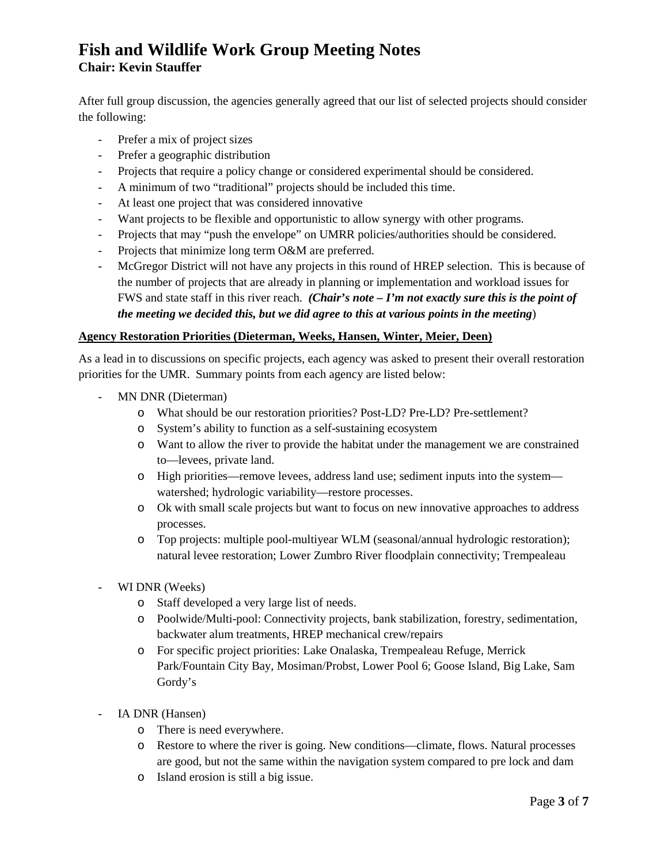After full group discussion, the agencies generally agreed that our list of selected projects should consider the following:

- Prefer a mix of project sizes
- Prefer a geographic distribution
- Projects that require a policy change or considered experimental should be considered.
- A minimum of two "traditional" projects should be included this time.
- At least one project that was considered innovative
- Want projects to be flexible and opportunistic to allow synergy with other programs.
- Projects that may "push the envelope" on UMRR policies/authorities should be considered.
- Projects that minimize long term O&M are preferred.
- McGregor District will not have any projects in this round of HREP selection. This is because of the number of projects that are already in planning or implementation and workload issues for FWS and state staff in this river reach. *(Chair's note – I'm not exactly sure this is the point of the meeting we decided this, but we did agree to this at various points in the meeting*)

### **Agency Restoration Priorities (Dieterman, Weeks, Hansen, Winter, Meier, Deen)**

As a lead in to discussions on specific projects, each agency was asked to present their overall restoration priorities for the UMR. Summary points from each agency are listed below:

- MN DNR (Dieterman)
	- o What should be our restoration priorities? Post-LD? Pre-LD? Pre-settlement?
	- o System's ability to function as a self-sustaining ecosystem
	- o Want to allow the river to provide the habitat under the management we are constrained to—levees, private land.
	- o High priorities—remove levees, address land use; sediment inputs into the system watershed; hydrologic variability—restore processes.
	- o Ok with small scale projects but want to focus on new innovative approaches to address processes.
	- o Top projects: multiple pool-multiyear WLM (seasonal/annual hydrologic restoration); natural levee restoration; Lower Zumbro River floodplain connectivity; Trempealeau
- WI DNR (Weeks)
	- o Staff developed a very large list of needs.
	- o Poolwide/Multi-pool: Connectivity projects, bank stabilization, forestry, sedimentation, backwater alum treatments, HREP mechanical crew/repairs
	- o For specific project priorities: Lake Onalaska, Trempealeau Refuge, Merrick Park/Fountain City Bay, Mosiman/Probst, Lower Pool 6; Goose Island, Big Lake, Sam Gordy's
- IA DNR (Hansen)
	- o There is need everywhere.
	- o Restore to where the river is going. New conditions—climate, flows. Natural processes are good, but not the same within the navigation system compared to pre lock and dam
	- o Island erosion is still a big issue.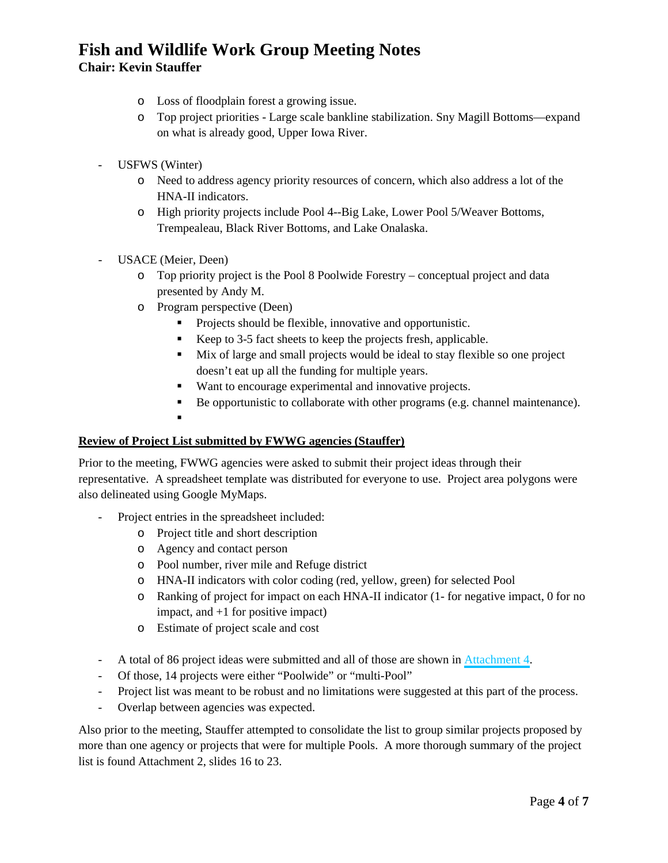- o Loss of floodplain forest a growing issue.
- o Top project priorities Large scale bankline stabilization. Sny Magill Bottoms—expand on what is already good, Upper Iowa River.
- USFWS (Winter)
	- o Need to address agency priority resources of concern, which also address a lot of the HNA-II indicators.
	- o High priority projects include Pool 4--Big Lake, Lower Pool 5/Weaver Bottoms, Trempealeau, Black River Bottoms, and Lake Onalaska.
- USACE (Meier, Deen)
	- o Top priority project is the Pool 8 Poolwide Forestry conceptual project and data presented by Andy M.
	- o Program perspective (Deen)
		- Projects should be flexible, innovative and opportunistic.
		- Keep to 3-5 fact sheets to keep the projects fresh, applicable.
		- Mix of large and small projects would be ideal to stay flexible so one project doesn't eat up all the funding for multiple years.
		- Want to encourage experimental and innovative projects.
		- Be opportunistic to collaborate with other programs (e.g. channel maintenance).
		- .

### **Review of Project List submitted by FWWG agencies (Stauffer)**

Prior to the meeting, FWWG agencies were asked to submit their project ideas through their representative. A spreadsheet template was distributed for everyone to use. Project area polygons were also delineated using Google MyMaps.

- Project entries in the spreadsheet included:
	- o Project title and short description
	- o Agency and contact person
	- o Pool number, river mile and Refuge district
	- o HNA-II indicators with color coding (red, yellow, green) for selected Pool
	- o Ranking of project for impact on each HNA-II indicator (1- for negative impact, 0 for no impact, and +1 for positive impact)
	- o Estimate of project scale and cost
- A total of 86 project ideas were submitted and all of those are shown in [Attachment 4.](#page-23-0)
- Of those, 14 projects were either "Poolwide" or "multi-Pool"
- Project list was meant to be robust and no limitations were suggested at this part of the process.
- Overlap between agencies was expected.

Also prior to the meeting, Stauffer attempted to consolidate the list to group similar projects proposed by more than one agency or projects that were for multiple Pools. A more thorough summary of the project list is found Attachment 2, slides 16 to 23.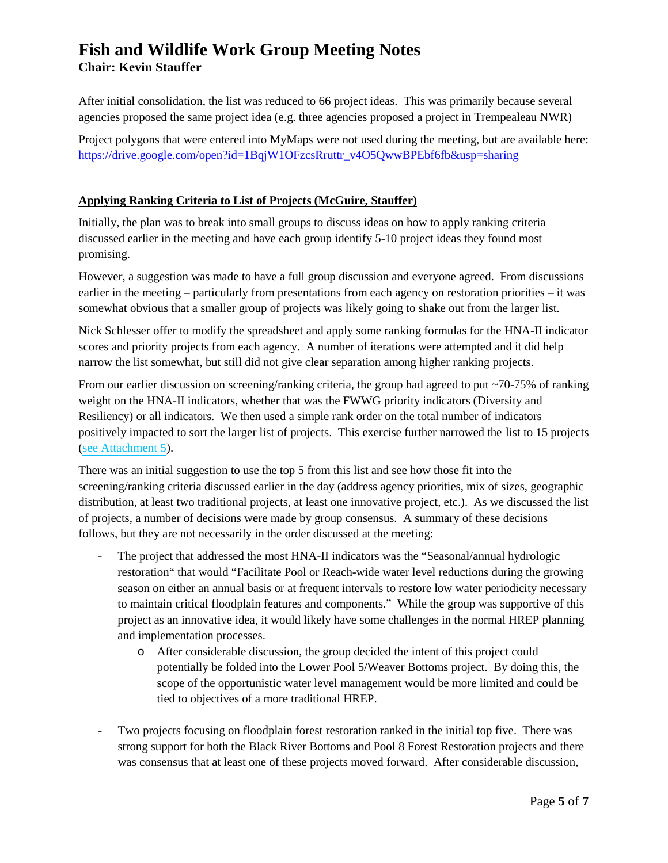After initial consolidation, the list was reduced to 66 project ideas. This was primarily because several agencies proposed the same project idea (e.g. three agencies proposed a project in Trempealeau NWR)

Project polygons that were entered into MyMaps were not used during the meeting, but are available here: [https://drive.google.com/open?id=1BqjW1OFzcsRruttr\\_v4O5QwwBPEbf6fb&usp=sharing](https://drive.google.com/open?id=1BqjW1OFzcsRruttr_v4O5QwwBPEbf6fb&usp=sharing)

## **Applying Ranking Criteria to List of Projects (McGuire, Stauffer)**

Initially, the plan was to break into small groups to discuss ideas on how to apply ranking criteria discussed earlier in the meeting and have each group identify 5-10 project ideas they found most promising.

However, a suggestion was made to have a full group discussion and everyone agreed. From discussions earlier in the meeting – particularly from presentations from each agency on restoration priorities – it was somewhat obvious that a smaller group of projects was likely going to shake out from the larger list.

Nick Schlesser offer to modify the spreadsheet and apply some ranking formulas for the HNA-II indicator scores and priority projects from each agency. A number of iterations were attempted and it did help narrow the list somewhat, but still did not give clear separation among higher ranking projects.

From our earlier discussion on screening/ranking criteria, the group had agreed to put ~70-75% of ranking weight on the HNA-II indicators, whether that was the FWWG priority indicators (Diversity and Resiliency) or all indicators. We then used a simple rank order on the total number of indicators positively impacted to sort the larger list of projects. This exercise further narrowed the list to 15 projects ([see Attachment 5\)](#page-30-0).

There was an initial suggestion to use the top 5 from this list and see how those fit into the screening/ranking criteria discussed earlier in the day (address agency priorities, mix of sizes, geographic distribution, at least two traditional projects, at least one innovative project, etc.). As we discussed the list of projects, a number of decisions were made by group consensus. A summary of these decisions follows, but they are not necessarily in the order discussed at the meeting:

- The project that addressed the most HNA-II indicators was the "Seasonal/annual hydrologic restoration" that would "Facilitate Pool or Reach-wide water level reductions during the growing season on either an annual basis or at frequent intervals to restore low water periodicity necessary to maintain critical floodplain features and components." While the group was supportive of this project as an innovative idea, it would likely have some challenges in the normal HREP planning and implementation processes.
	- o After considerable discussion, the group decided the intent of this project could potentially be folded into the Lower Pool 5/Weaver Bottoms project. By doing this, the scope of the opportunistic water level management would be more limited and could be tied to objectives of a more traditional HREP.
- Two projects focusing on floodplain forest restoration ranked in the initial top five. There was strong support for both the Black River Bottoms and Pool 8 Forest Restoration projects and there was consensus that at least one of these projects moved forward. After considerable discussion,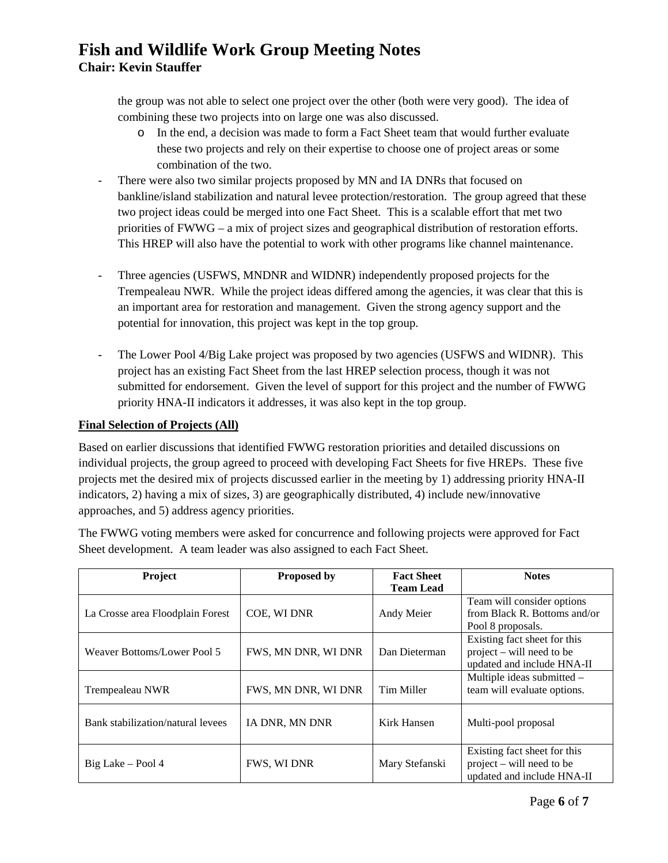the group was not able to select one project over the other (both were very good). The idea of combining these two projects into on large one was also discussed.

- o In the end, a decision was made to form a Fact Sheet team that would further evaluate these two projects and rely on their expertise to choose one of project areas or some combination of the two.
- There were also two similar projects proposed by MN and IA DNRs that focused on bankline/island stabilization and natural levee protection/restoration. The group agreed that these two project ideas could be merged into one Fact Sheet. This is a scalable effort that met two priorities of FWWG – a mix of project sizes and geographical distribution of restoration efforts. This HREP will also have the potential to work with other programs like channel maintenance.
- Three agencies (USFWS, MNDNR and WIDNR) independently proposed projects for the Trempealeau NWR. While the project ideas differed among the agencies, it was clear that this is an important area for restoration and management. Given the strong agency support and the potential for innovation, this project was kept in the top group.
- The Lower Pool 4/Big Lake project was proposed by two agencies (USFWS and WIDNR). This project has an existing Fact Sheet from the last HREP selection process, though it was not submitted for endorsement. Given the level of support for this project and the number of FWWG priority HNA-II indicators it addresses, it was also kept in the top group.

## **Final Selection of Projects (All)**

Based on earlier discussions that identified FWWG restoration priorities and detailed discussions on individual projects, the group agreed to proceed with developing Fact Sheets for five HREPs. These five projects met the desired mix of projects discussed earlier in the meeting by 1) addressing priority HNA-II indicators, 2) having a mix of sizes, 3) are geographically distributed, 4) include new/innovative approaches, and 5) address agency priorities.

The FWWG voting members were asked for concurrence and following projects were approved for Fact Sheet development. A team leader was also assigned to each Fact Sheet.

| Project                           | <b>Proposed by</b>  | <b>Fact Sheet</b><br><b>Team Lead</b> | <b>Notes</b>                                                                              |
|-----------------------------------|---------------------|---------------------------------------|-------------------------------------------------------------------------------------------|
| La Crosse area Floodplain Forest  | COE, WI DNR         | Andy Meier                            | Team will consider options<br>from Black R. Bottoms and/or<br>Pool 8 proposals.           |
| Weaver Bottoms/Lower Pool 5       | FWS, MN DNR, WI DNR | Dan Dieterman                         | Existing fact sheet for this<br>$project - will need to be$<br>updated and include HNA-II |
| Trempealeau NWR                   | FWS, MN DNR, WI DNR | Tim Miller                            | Multiple ideas submitted -<br>team will evaluate options.                                 |
| Bank stabilization/natural levees | IA DNR, MN DNR      | Kirk Hansen                           | Multi-pool proposal                                                                       |
| Big Lake – Pool 4                 | FWS, WI DNR         | Mary Stefanski                        | Existing fact sheet for this<br>$project - will need to be$<br>updated and include HNA-II |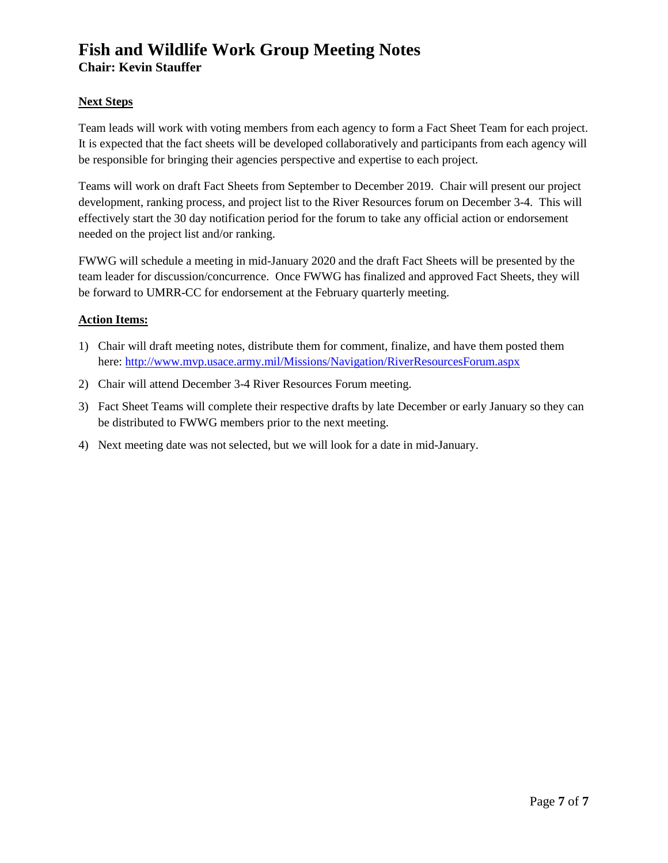### **Next Steps**

Team leads will work with voting members from each agency to form a Fact Sheet Team for each project. It is expected that the fact sheets will be developed collaboratively and participants from each agency will be responsible for bringing their agencies perspective and expertise to each project.

Teams will work on draft Fact Sheets from September to December 2019. Chair will present our project development, ranking process, and project list to the River Resources forum on December 3-4. This will effectively start the 30 day notification period for the forum to take any official action or endorsement needed on the project list and/or ranking.

FWWG will schedule a meeting in mid-January 2020 and the draft Fact Sheets will be presented by the team leader for discussion/concurrence. Once FWWG has finalized and approved Fact Sheets, they will be forward to UMRR-CC for endorsement at the February quarterly meeting.

### **Action Items:**

- 1) Chair will draft meeting notes, distribute them for comment, finalize, and have them posted them here[: http://www.mvp.usace.army.mil/Missions/Navigation/RiverResourcesForum.aspx](http://www.mvp.usace.army.mil/Missions/Navigation/RiverResourcesForum.aspx)
- 2) Chair will attend December 3-4 River Resources Forum meeting.
- 3) Fact Sheet Teams will complete their respective drafts by late December or early January so they can be distributed to FWWG members prior to the next meeting.
- 4) Next meeting date was not selected, but we will look for a date in mid-January.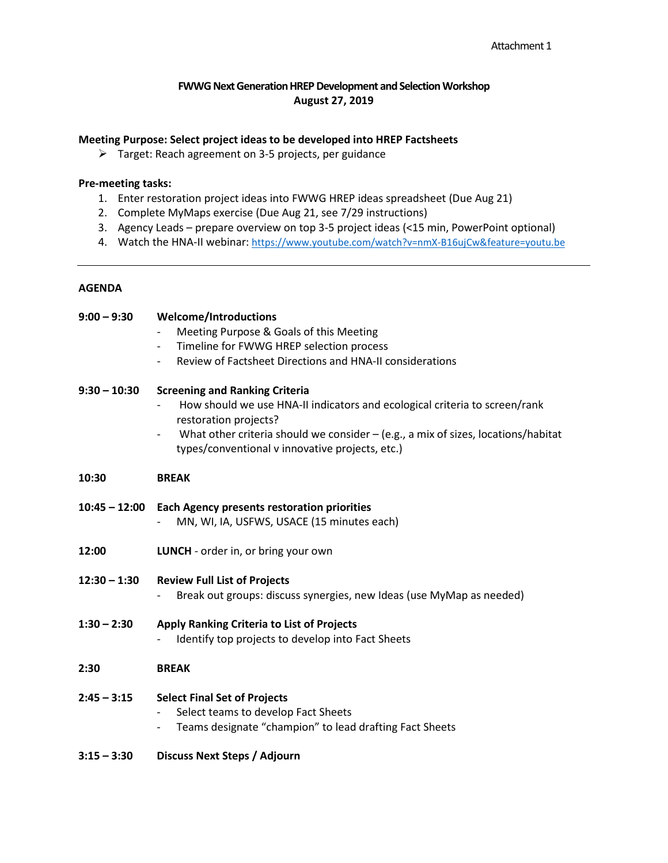### **FWWG Next Generation HREP Development and Selection Workshop August 27, 2019**

### <span id="page-7-0"></span>**Meeting Purpose: Select project ideas to be developed into HREP Factsheets**

Target: Reach agreement on 3-5 projects, per guidance

### **Pre-meeting tasks:**

- 1. Enter restoration project ideas into FWWG HREP ideas spreadsheet (Due Aug 21)
- 2. Complete MyMaps exercise (Due Aug 21, see 7/29 instructions)
- 3. Agency Leads prepare overview on top 3-5 project ideas (<15 min, PowerPoint optional)
- 4. Watch the HNA-II webinar:<https://www.youtube.com/watch?v=nmX-B16ujCw&feature=youtu.be>

### **AGENDA**

| $9:00 - 9:30$  | <b>Welcome/Introductions</b>                                                                                                                                    |
|----------------|-----------------------------------------------------------------------------------------------------------------------------------------------------------------|
|                | Meeting Purpose & Goals of this Meeting                                                                                                                         |
|                | Timeline for FWWG HREP selection process                                                                                                                        |
|                | Review of Factsheet Directions and HNA-II considerations<br>$\overline{\phantom{a}}$                                                                            |
| $9:30 - 10:30$ | <b>Screening and Ranking Criteria</b><br>How should we use HNA-II indicators and ecological criteria to screen/rank                                             |
|                | restoration projects?<br>What other criteria should we consider $-$ (e.g., a mix of sizes, locations/habitat<br>types/conventional v innovative projects, etc.) |
| 10:30          | <b>BREAK</b>                                                                                                                                                    |
|                | 10:45 - 12:00 Each Agency presents restoration priorities<br>MN, WI, IA, USFWS, USACE (15 minutes each)                                                         |
| 12:00          | LUNCH - order in, or bring your own                                                                                                                             |
| $12:30 - 1:30$ | <b>Review Full List of Projects</b><br>Break out groups: discuss synergies, new Ideas (use MyMap as needed)                                                     |
| $1:30 - 2:30$  | Apply Ranking Criteria to List of Projects<br>Identify top projects to develop into Fact Sheets                                                                 |
| 2:30           | <b>BREAK</b>                                                                                                                                                    |
| $2:45 - 3:15$  | <b>Select Final Set of Projects</b><br>Select teams to develop Fact Sheets<br>Teams designate "champion" to lead drafting Fact Sheets                           |

**3:15 – 3:30 Discuss Next Steps / Adjourn**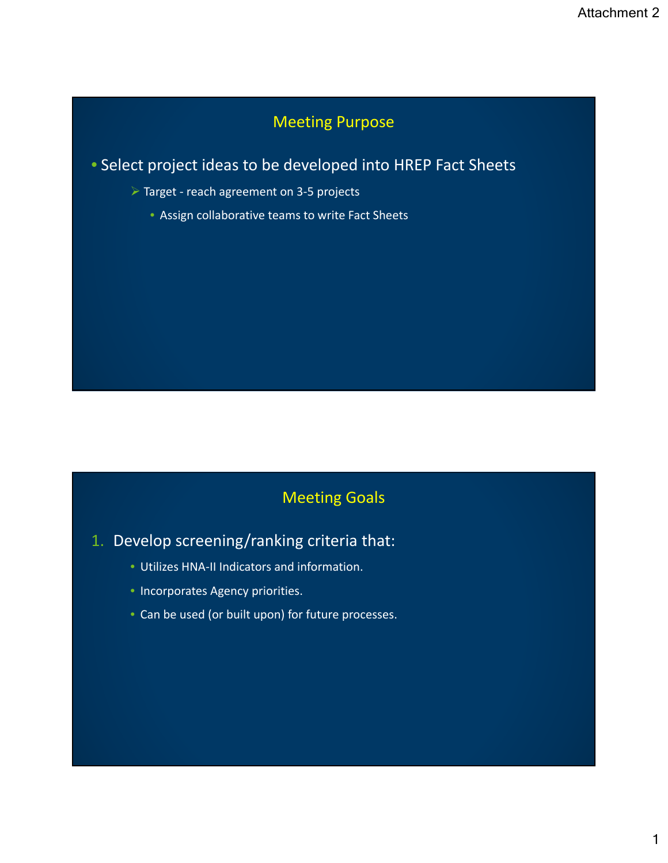# Meeting Purpose

<span id="page-8-0"></span>• Select project ideas to be developed into HREP Fact Sheets

- Target ‐ reach agreement on 3‐5 projects
	- Assign collaborative teams to write Fact Sheets

# Meeting Goals

- 1. Develop screening/ranking criteria that:
	- Utilizes HNA‐II Indicators and information.
	- Incorporates Agency priorities.
	- Can be used (or built upon) for future processes.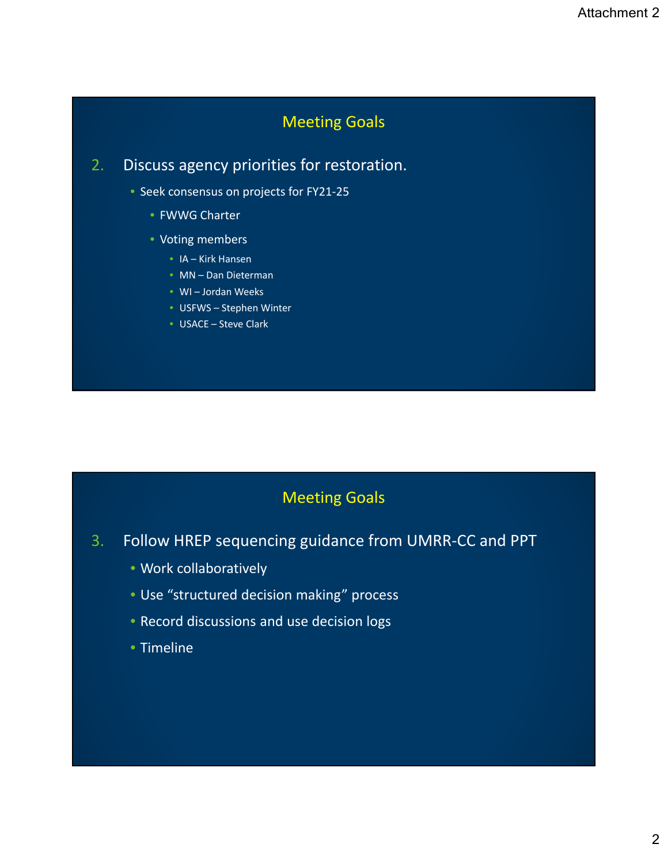# Meeting Goals

# 2. Discuss agency priorities for restoration.

- Seek consensus on projects for FY21‐25
	- FWWG Charter
	- Voting members
		- IA Kirk Hansen
		- MN Dan Dieterman
		- WI Jordan Weeks
		- USFWS Stephen Winter
		- USACE Steve Clark

# Meeting Goals

- 3. Follow HREP sequencing guidance from UMRR‐CC and PPT
	- Work collaboratively
	- Use "structured decision making" process
	- Record discussions and use decision logs
	- Timeline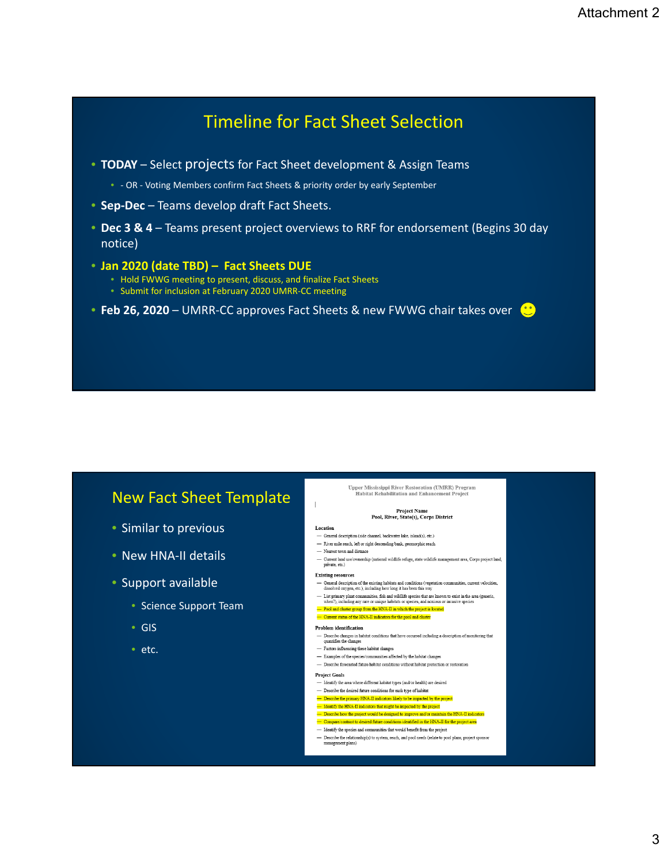# Timeline for Fact Sheet Selection

- **TODAY** Select projects for Fact Sheet development & Assign Teams
	- - OR Voting Members confirm Fact Sheets & priority order by early September
- **Sep‐Dec** Teams develop draft Fact Sheets.
- **Dec 3 & 4** Teams present project overviews to RRF for endorsement (Begins 30 day notice)
- **Jan 2020 (date TBD) Fact Sheets DUE**
	- Hold FWWG meeting to present, discuss, and finalize Fact Sheets
	- Submit for inclusion at February 2020 UMRR‐CC meeting
- **Feb 26, 2020** UMRR‐CC approves Fact Sheets & new FWWG chair takes over

## New Fact Sheet Template

- Similar to previous
- New HNA‐II details
- Support available
	- Science Support Team
	- GIS
	- etc.

Upper Mississippi River Restoration (UMRR) Program Habitat Rehabilitation and Enhancement Project

#### **Project Name** Project Ivalue<br>Pool, River, State(s), Corps District

#### Location

 $\mathbb{R}$ 

- $-$  General description (side channel, backwater lake, island(s), etc.)  $\hspace{0.1cm}$  — River mile reach, left or right descending bank, geomorphic reach
- Nearest town and distance
- Current land use/ownership (national wildlife refuge, state wildlife management area, Corps project land, private, etc.)

#### **Existing resources**

- General description of the existing habitats and conditions (vegetation communities, current velocities, dissolved oxygen, etc.), including how long it has been this way
- 

#### — Current status of the HNA-II indicators for the pool and cluster

#### Problem identification

- $-$  Describe changes in habitat conditions that have occurred including a description of monitoring that quantifies the changes
- Factors influencing these habitat changes
- $-$  Describe forecasted future habitat conditions without habitat protection or restoration

#### **Project Goals**

- Identify the area where different habitat types (and/or health) are desired
- $-$  Describe the desired future conditions for each type of habitat Describe the primary HNA-II indicators likely to be impacted by the
- Identify the HNA-II indicators that might be impacted by the project
- Describe how the project would be designed to improve and/or maintain the HNA-II indiditions identified in the HNA-II for the project area **rast to desired future co**
- Identify the species and communities that would benefit from the project
- identity the species and communities that would benefit from the project<br>— Describe the relationship(s) to system, reach, and pool needs (relate to pool plans, project sponsor<br>— management plans)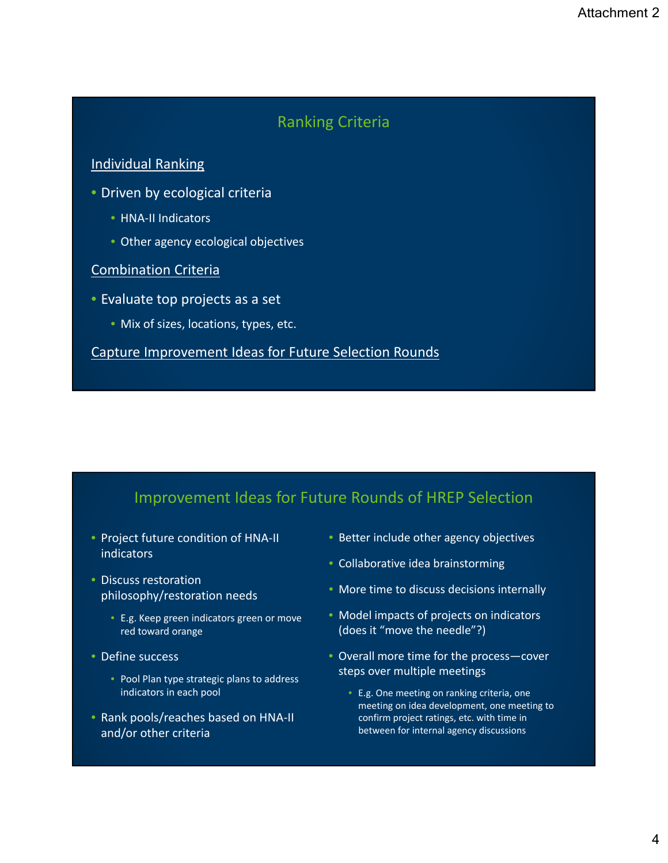## Ranking Criteria

## <span id="page-11-0"></span>Individual Ranking

- Driven by ecological criteria
	- HNA‐II Indicators
	- Other agency ecological objectives

## Combination Criteria

- Evaluate top projects as a set
	- Mix of sizes, locations, types, etc.

Capture Improvement Ideas for Future Selection Rounds

# Improvement Ideas for Future Rounds of HREP Selection

- Project future condition of HNA‐II indicators
- Discuss restoration philosophy/restoration needs
	- E.g. Keep green indicators green or move red toward orange
- Define success
	- Pool Plan type strategic plans to address indicators in each pool
- Rank pools/reaches based on HNA‐II and/or other criteria
- Better include other agency objectives
- Collaborative idea brainstorming
- More time to discuss decisions internally
- Model impacts of projects on indicators (does it "move the needle"?)
- Overall more time for the process—cover steps over multiple meetings
	- E.g. One meeting on ranking criteria, one meeting on idea development, one meeting to confirm project ratings, etc. with time in between for internal agency discussions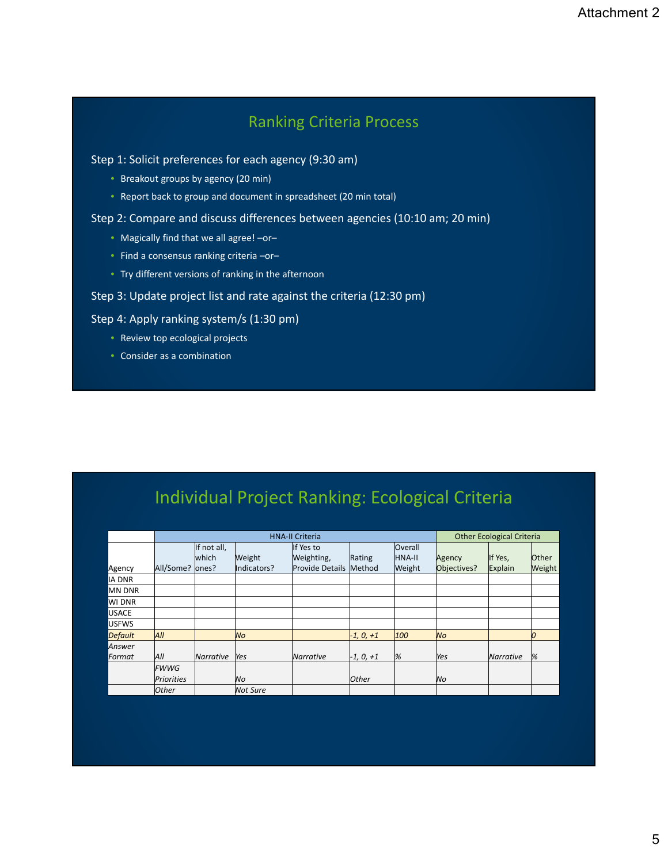# Ranking Criteria Process

### Step 1: Solicit preferences for each agency (9:30 am)

- Breakout groups by agency (20 min)
- Report back to group and document in spreadsheet (20 min total)

### Step 2: Compare and discuss differences between agencies (10:10 am; 20 min)

- Magically find that we all agree! –or–
- Find a consensus ranking criteria –or–
- Try different versions of ranking in the afternoon

## Step 3: Update project list and rate against the criteria (12:30 pm)

## Step 4: Apply ranking system/s (1:30 pm)

- Review top ecological projects
- Consider as a combination

# Individual Project Ranking: Ecological Criteria

|                |              |                      |                 | <b>HNA-II Criteria</b>  |              |                                 |             | <b>Other Ecological Criteria</b> |              |
|----------------|--------------|----------------------|-----------------|-------------------------|--------------|---------------------------------|-------------|----------------------------------|--------------|
|                |              | If not all,<br>which | Weight          | If Yes to<br>Weighting, | Rating       | <b>Overall</b><br><b>HNA-II</b> | Agency      | If Yes,                          | <b>Other</b> |
| Agency         | All/Some?    | lones?               | Indicators?     | Provide Details Method  |              | Weight                          | Objectives? | Explain                          | Weight       |
| <b>IA DNR</b>  |              |                      |                 |                         |              |                                 |             |                                  |              |
| MN DNR         |              |                      |                 |                         |              |                                 |             |                                  |              |
| WI DNR         |              |                      |                 |                         |              |                                 |             |                                  |              |
| <b>USACE</b>   |              |                      |                 |                         |              |                                 |             |                                  |              |
| <b>USFWS</b>   |              |                      |                 |                         |              |                                 |             |                                  |              |
| <b>Default</b> | All          |                      | No              |                         | $-1, 0, +1$  | 100                             | No          |                                  | O            |
| Answer         |              |                      |                 |                         |              |                                 |             |                                  |              |
| Format         | All          | <b>Narrative</b>     | Yes             | Narrative               | $-1, 0, +1$  | %                               | Yes         | Narrative                        | %            |
|                | <b>FWWG</b>  |                      |                 |                         |              |                                 |             |                                  |              |
|                | Priorities   |                      | lNo.            |                         | <b>Other</b> |                                 | No          |                                  |              |
|                | <b>Other</b> |                      | <b>Not Sure</b> |                         |              |                                 |             |                                  |              |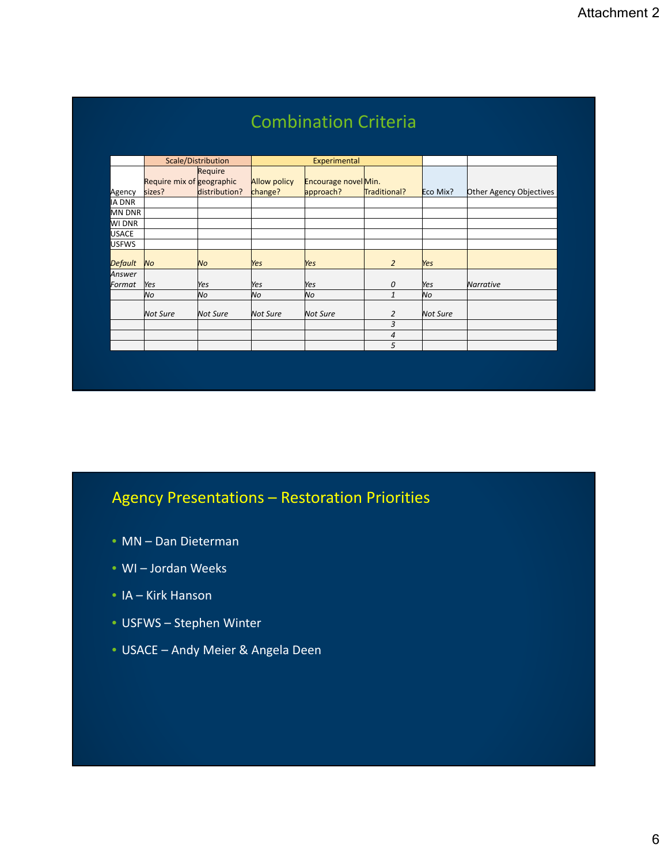|                |                           |                    |                     | <b>Combination Criteria</b> |                |                 |                         |
|----------------|---------------------------|--------------------|---------------------|-----------------------------|----------------|-----------------|-------------------------|
|                |                           | Scale/Distribution |                     | Experimental                |                |                 |                         |
|                |                           | Require            |                     |                             |                |                 |                         |
|                | Require mix of geographic |                    | <b>Allow policy</b> | Encourage novel Min.        |                |                 |                         |
| Agency         | sizes?                    | distribution?      | change?             | approach?                   | Traditional?   | Eco Mix?        | Other Agency Objectives |
| IA DNR         |                           |                    |                     |                             |                |                 |                         |
| <b>MN DNR</b>  |                           |                    |                     |                             |                |                 |                         |
| WI DNR         |                           |                    |                     |                             |                |                 |                         |
| USACE          |                           |                    |                     |                             |                |                 |                         |
| <b>USFWS</b>   |                           |                    |                     |                             |                |                 |                         |
| <b>Default</b> | <b>No</b>                 | No                 | Yes                 | Yes                         | $\overline{2}$ | Yes             |                         |
| Answer         |                           |                    |                     |                             |                |                 |                         |
| Format         | Yes                       | Yes                | Yes                 | Yes                         | 0              | Yes             | <b>Narrative</b>        |
|                | No                        | <b>No</b>          | lNo.                | No                          | $\mathbf{1}$   | lNo             |                         |
|                | <b>Not Sure</b>           | <b>Not Sure</b>    | <b>Not Sure</b>     | <b>Not Sure</b>             | 2              | <b>Not Sure</b> |                         |
|                |                           |                    |                     |                             | 3              |                 |                         |
|                |                           |                    |                     |                             | 4              |                 |                         |
|                |                           |                    |                     |                             | 5              |                 |                         |

# Agency Presentations – Restoration Priorities

- MN Dan Dieterman
- WI Jordan Weeks
- IA Kirk Hanson
- USFWS Stephen Winter
- USACE Andy Meier & Angela Deen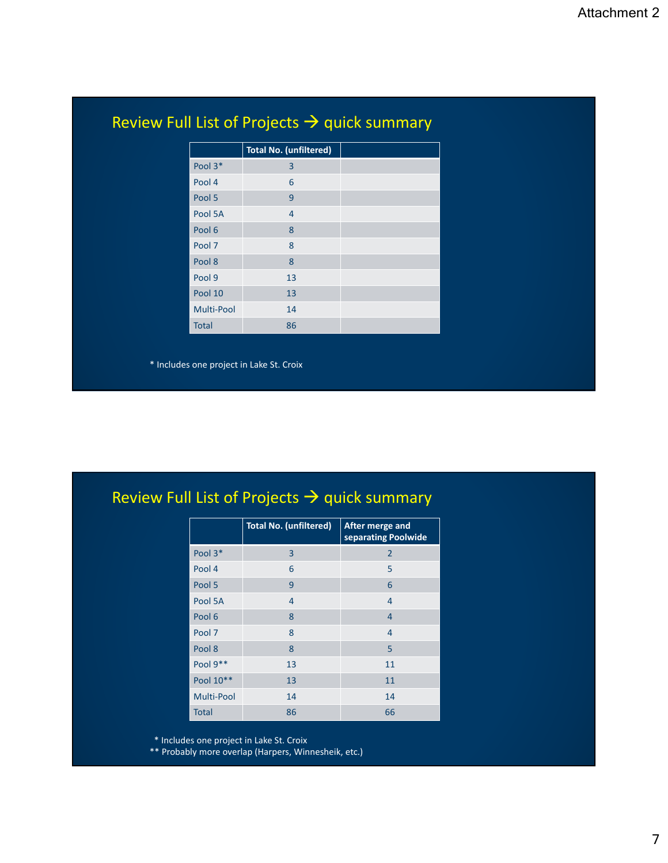|              | <b>Total No. (unfiltered)</b> |  |
|--------------|-------------------------------|--|
| Pool 3*      | 3                             |  |
|              |                               |  |
| Pool 4       | 6                             |  |
| Pool 5       | 9                             |  |
| Pool 5A      | $\overline{4}$                |  |
| Pool 6       | 8                             |  |
| Pool 7       | 8                             |  |
| Pool 8       | 8                             |  |
| Pool 9       | 13                            |  |
| Pool 10      | 13                            |  |
| Multi-Pool   | 14                            |  |
| <b>Total</b> | 86                            |  |
|              |                               |  |

# Review Full List of Projects  $\rightarrow$  quick summary

|                   | <b>Total No. (unfiltered)</b> | <b>After merge and</b><br>separating Poolwide |
|-------------------|-------------------------------|-----------------------------------------------|
| Pool 3*           | 3                             | 2                                             |
| Pool 4            | 6                             | 5                                             |
| Pool 5            | 9                             | 6                                             |
| Pool 5A           | 4                             | 4                                             |
| Pool 6            | 8                             | 4                                             |
| Pool 7            | 8                             | 4                                             |
| Pool 8            | 8                             | 5                                             |
| Pool 9**          | 13                            | 11                                            |
| Pool 10**         | 13                            | 11                                            |
| <b>Multi-Pool</b> | 14                            | 14                                            |
| <b>Total</b>      | 86                            | 66                                            |

\* Includes one project in Lake St. Croix

\*\* Probably more overlap (Harpers, Winnesheik, etc.)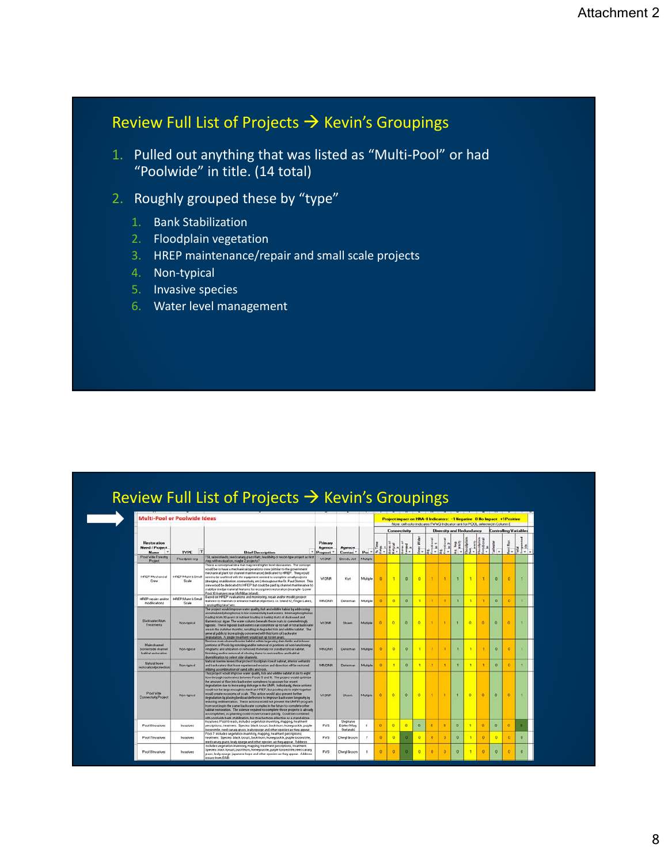# Review Full List of Projects  $\rightarrow$  Kevin's Groupings

- 1. Pulled out anything that was listed as "Multi‐Pool" or had "Poolwide" in title. (14 total)
- 2. Roughly grouped these by "type"
	- 1. Bank Stabilization
	- 2. Floodplain vegetation
	- 3. HREP maintenance/repair and small scale projects
	- 4. Non‐typical
	- 5. Invasive species
	- 6. Water level management

| <b>Restoration</b><br><b>Need / Project</b><br>TYPE IT<br>Name<br><b>Brief Description</b><br>Pool Vide Forestry<br>TSI, raise islands, reed canary grass flats, leasibility or recon type project as first<br>Floodplan veg<br>Project<br>step, with equivation, maybe 2 projects?<br>This is a conceptual idea that may need higher level discussion. The concept<br>would be to have a mechanical operations crew (similar to the government                                                                                                                                                                                                                                                                                                                                                                                                                                                                                                                                                                                            | <b>Primary</b><br><b>Agency</b><br>Proposi <sup>*</sup> |                                       |                |         |          |                   |     |              |                          |              |                      |                      | Note: cell color indicates FWWG Indicator rank for POOL selected in Column E |                                  |              |  |
|--------------------------------------------------------------------------------------------------------------------------------------------------------------------------------------------------------------------------------------------------------------------------------------------------------------------------------------------------------------------------------------------------------------------------------------------------------------------------------------------------------------------------------------------------------------------------------------------------------------------------------------------------------------------------------------------------------------------------------------------------------------------------------------------------------------------------------------------------------------------------------------------------------------------------------------------------------------------------------------------------------------------------------------------|---------------------------------------------------------|---------------------------------------|----------------|---------|----------|-------------------|-----|--------------|--------------------------|--------------|----------------------|----------------------|------------------------------------------------------------------------------|----------------------------------|--------------|--|
|                                                                                                                                                                                                                                                                                                                                                                                                                                                                                                                                                                                                                                                                                                                                                                                                                                                                                                                                                                                                                                            |                                                         |                                       |                | Agency. |          | Connectivity<br>× |     |              | Diversity and Redundancy |              |                      |                      |                                                                              | <b>Controlling Variable</b><br>z |              |  |
|                                                                                                                                                                                                                                                                                                                                                                                                                                                                                                                                                                                                                                                                                                                                                                                                                                                                                                                                                                                                                                            |                                                         | Contac                                | Por '          |         |          |                   |     |              |                          |              |                      |                      |                                                                              |                                  |              |  |
|                                                                                                                                                                                                                                                                                                                                                                                                                                                                                                                                                                                                                                                                                                                                                                                                                                                                                                                                                                                                                                            | VIDNE                                                   | Drenda, Jell                          | Multiple       |         |          |                   |     |              |                          |              |                      |                      |                                                                              |                                  |              |  |
| mechanical plant for channel maintenance) dedicated to HREP. They would<br><b>HEEP Mechancial</b><br>HEIDP Maint & Small<br>need to be outlitted with the equipment needed to complete small projects<br>Crew<br>Soale<br>(dredging, stabilization, connectivity, etc.) throughout the St. Paul District. This<br>crew would be dedicated to HFILIP but could be paid by channel maintenance to<br>stabilize dredge material features for ecosystem restoration (esample - Louer<br>Pool 10 features near McMillan Island).                                                                                                                                                                                                                                                                                                                                                                                                                                                                                                                | <b>VIEWR</b>                                            | Kiurt                                 | Multiple       | n       |          | п                 | n   |              | а                        |              | n                    | ٠                    | $\circ$                                                                      | $\circ$                          |              |  |
| Based on HFIEP evaluations and monitoring, repair and/or modify project<br>HREP Maint is Small<br><b>HREP repairs and/or</b><br>leatures to maintain or enhance habitat objectives, i.e. Island 42, Finger Lakes,<br>modifications<br>Soale<br>Landing@iglake? etc.                                                                                                                                                                                                                                                                                                                                                                                                                                                                                                                                                                                                                                                                                                                                                                        | MN ONEL                                                 | Dieterman                             | Multiple       | n       | $\Omega$ | n                 |     |              | ×                        |              | n                    | - 1                  | $\alpha$                                                                     | $\alpha$                         |              |  |
| The project would improve water quality, fish and wildlife habiat by addressing<br>accumulated phosphones in low connectivity backwaters. Internal phosphonus<br>boarding from 80 sears of nutrient loading is fueling mats of duckweed and<br>Elackwater Akam<br>Hamentous algae. The water column beneath these mats is overshelmingly<br>Non-tipical<br>Treatments<br>hypoxic. These hypoxic backwaters can constitute up to half of total backwater<br>area in the summer months, resulting in degraded fish and vildlife habitat. The<br>general public is increasingly concerned with this form of backwater<br>degradation. A single treatment yould last up to ten urars.                                                                                                                                                                                                                                                                                                                                                          | <b>VIDNR</b>                                            | <b>Shawn</b>                          | Multiple       | ٠n      | n        | io.               | n   |              |                          |              | $\ddot{\phantom{0}}$ | $\ddot{\phantom{a}}$ | n                                                                            | $\circ$                          |              |  |
| Flestore main channel border habitat within large wing dam fields and in lower<br>Main channel<br>portions of Pools by noteking and/or removal of portions of non-haustioning<br><b>Bondarfolds channel</b><br><b>Non-hipioal</b><br>vingdamz and utilization of removed materials for standbartshoal habitat.<br>Notching and/or removal of closing dams to restore flow and habitat<br><b>Rubitat restoration</b><br>diversification to pelect side channels.                                                                                                                                                                                                                                                                                                                                                                                                                                                                                                                                                                            | <b>MAI DNR</b>                                          | Distantiati                           | Multiple       | ×       | n        | o                 |     |              |                          |              |                      |                      | n                                                                            | $\alpha$                         |              |  |
| filatural riverine levees that protect floodplain forest habitat, interior wetlands<br><b>Natural legge</b><br>Non-tupical<br>and backwaters that have experienced engines and direction will be restored<br>restoration/protection<br>utilizing a combination of sand, sits and rock.                                                                                                                                                                                                                                                                                                                                                                                                                                                                                                                                                                                                                                                                                                                                                     | <b>MAI DMR</b>                                          | Dieterman                             | Multiple       | n       |          | ю                 |     | $\mathbf{I}$ | $\mathbf{I}$             | г            | <b>i</b>             | $\mathbf{r}$         | $\mathbf{0}$                                                                 | $\theta$                         | п            |  |
| This project would improve water quality, fish and wildlife habitat in six to eight<br>thou-through backwaters between Poots 5 and 10. The project would optimize<br>the amount of flow into backwater complexes to account for recent<br>degradation due to increasing diskarge in the UMR. Induidault, these actions:<br>would not be large enough to merit an HFIEP, but pooling six to eight together<br><b>Pool Vide</b><br>would create economy of scale. This action would also prevent further<br>Non-hypical<br>Connectivity Project<br>degradation by placing bedioad deflectors to improve backwater longevity by<br>reducing sedimentation. These actions would not prevent the UMFIFI program<br>from working in the same backwater complex in the future to complete other.<br>habitat restoration. The science required to complete these projects is alreads<br>accomplished, so planning could move forward quickly. Could be combined<br>with pool wide bank, stabilization, but may be more effective as a stand-alone. | <b>VIDNA</b>                                            | <b>EXLINE</b>                         | Multiple       | ٠n      | a        | ю                 | iö. |              |                          |              | 10                   | $\ddot{\mathbf{o}}$  | $\circ$                                                                      | $\circ$                          |              |  |
| Invazived: Pool 6 reach, included vegetation inventors, mapping, treatment<br>Pool & Invasives<br><b>Invasives</b><br>percriptions, treatment. Species: black locust, buckthorn, honestuckle, purple<br>loosestrife, reed canars grass, leals spurge and other species as thes appear.                                                                                                                                                                                                                                                                                                                                                                                                                                                                                                                                                                                                                                                                                                                                                     | <b>FVS</b>                                              | Stephanie<br>Edelet Mars<br>Shelangki |                | n       | n        | o                 | o   | o            | $\mathbf{0}$             | $\mathbf{D}$ | п                    | $\alpha$             | $\mathbf{a}$                                                                 | $\mathbf{0}$                     | m            |  |
| Pool 7 includes vegetation inventors, mapping, treatment percriptions,<br>Pool? Invarives<br>Invasives<br>treatment. Species: black looust, buckthorn, honeysuckle, purple loosestrife,<br>reed canary grass, leafy spurge and other species as they appear. Address                                                                                                                                                                                                                                                                                                                                                                                                                                                                                                                                                                                                                                                                                                                                                                       | <b>FVS</b>                                              | Cheryl Groom                          | $\overline{z}$ | n       | O.       | m                 | o   | 'n           | $\mathbf{0}$             | $\alpha$     | ٠t                   | $\mathbf{0}$         | $\circ$                                                                      | $\ddot{\phantom{0}}$             | $\mathbf{n}$ |  |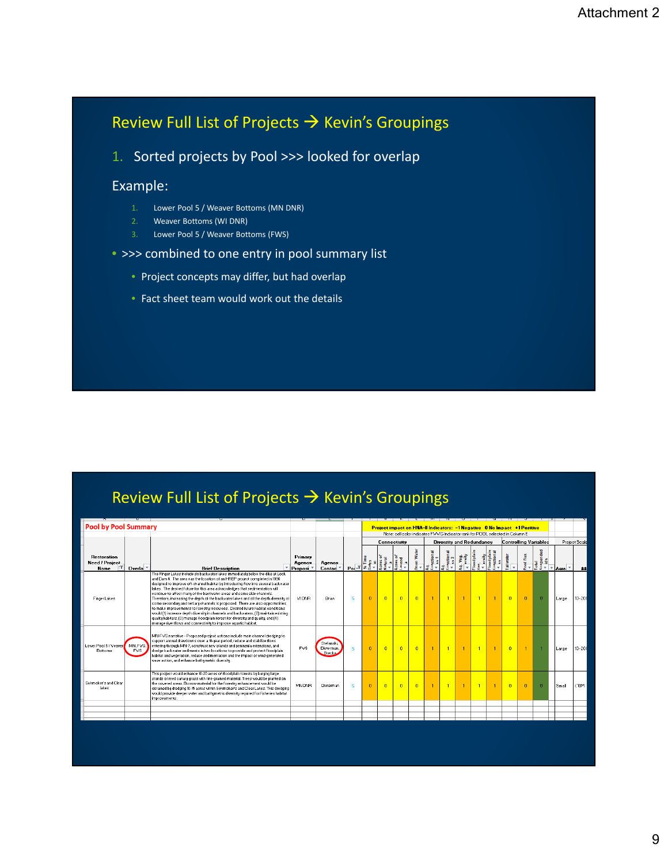# Review Full List of Projects  $\rightarrow$  Kevin's Groupings

1. Sorted projects by Pool >>> looked for overlap

## Example:

- 1. Lower Pool 5 / Weaver Bottoms (MN DNR)
- 2. Weaver Bottoms (WI DNR)
- 3. Lower Pool 5 / Weaver Bottoms (FWS)

## • >>> combined to one entry in pool summary list

- Project concepts may differ, but had overlap
- Fact sheet team would work out the details

# Review Full List of Projects  $\rightarrow$  Kevin's Groupings

| <b>Pool by Pool Summary</b>                         |                                 |                                                                                                                                                                                                                                                                                                                                                                                                                                                                                                                                                                                                                                                                                                                                                                                                                                                                                                                         |                                           |                                      |                          | Project impact on HNA-II Indicators: -1 Negative 0 No Impact +1 Positive<br>Note: cell color indicates FWWG Indicator rank for POOL selected in Column E |                |                |                |                                 |                |                |                              |           |                |                         |                   |             |
|-----------------------------------------------------|---------------------------------|-------------------------------------------------------------------------------------------------------------------------------------------------------------------------------------------------------------------------------------------------------------------------------------------------------------------------------------------------------------------------------------------------------------------------------------------------------------------------------------------------------------------------------------------------------------------------------------------------------------------------------------------------------------------------------------------------------------------------------------------------------------------------------------------------------------------------------------------------------------------------------------------------------------------------|-------------------------------------------|--------------------------------------|--------------------------|----------------------------------------------------------------------------------------------------------------------------------------------------------|----------------|----------------|----------------|---------------------------------|----------------|----------------|------------------------------|-----------|----------------|-------------------------|-------------------|-------------|
|                                                     |                                 |                                                                                                                                                                                                                                                                                                                                                                                                                                                                                                                                                                                                                                                                                                                                                                                                                                                                                                                         |                                           |                                      |                          | <b>Connectivity</b>                                                                                                                                      |                |                |                | <b>Diversity and Redundancy</b> |                |                | <b>Controlling Variables</b> |           |                |                         | Project Scale     |             |
| <b>Restoration</b><br>Need / Project<br><b>Name</b> | Overla $\overline{\phantom{a}}$ | v<br><b>Brief Description</b>                                                                                                                                                                                                                                                                                                                                                                                                                                                                                                                                                                                                                                                                                                                                                                                                                                                                                           | Primary<br>Agency<br>Proposi <sup>v</sup> | <b>Agency</b><br>Contac <sup>y</sup> | $Po^{-1}$                |                                                                                                                                                          |                |                | <b>Water</b>   | otional                         | otional        | 警              | odplai                       | ailwater  | Pool flux      | anded<br>Total<br>Suspe | $\psi$<br>Acre. v | <b>12.2</b> |
| <b>Finger Lakes</b>                                 |                                 | The Finger Lakes include six backwater lakes immediately below the dike at Lock<br>and Dam 4. The area was the location of an HREP project completed in 1996<br>designed to improve off-channel habitat by introducing flow into several backwater<br>lakes. The desired future for this area acknowledges that sedimentation will<br>continue to affect many of the backwater areas and some side channels.<br>Therefore, increasing the depth of the backwater lakes and of the depth diversity of<br>some secondary and tertiary channels is proposed. There are also opportunities<br>to make improvements to forestru resources. Desired future habitat conditions<br>would (1) increase depth diversity in channels and backwaters, (2) maintain existing<br>quality habitats, (3) manage floodplain forest for diversity and quality, and (4)<br>manage river flows and connectivity to improve aguatic habitat. | VIDNR                                     | Brian                                | 5                        | $\overline{0}$                                                                                                                                           | $\overline{0}$ | $\overline{0}$ | $\overline{0}$ | -1                              | $\blacksquare$ | $\mathbf{1}$   | $\overline{1}$               | $\bullet$ | $\overline{0}$ | $\overline{0}$          | Large             | $10 - 20$   |
| Lower Pool 5 / Weaver<br><b>Bottoms</b>             | MN, FVS.<br>FWS.                | MN-FWS narrative - Proposed project actions include main channel dredging to<br>support annual drawdowns over a 10-year period, reduce and stabilize flows<br>entering through MN-7, construct new islands and peninsula extensions, and<br>dredge backwater sediments in two locations to provide and protect floodplain<br>habitat and vegetation, reduce sedimentation and the impact of wind-generated<br>wave action, and enhance bathumetric diversity.                                                                                                                                                                                                                                                                                                                                                                                                                                                           | <b>FVS</b>                                | Stefansk<br>Dieterman,<br>Brecka.    | 5.                       | $\mathbf{0}$                                                                                                                                             | $\mathbf{0}$   | $\overline{0}$ | $\overline{0}$ |                                 |                | $\overline{1}$ |                              | $\Omega$  | $\blacksquare$ |                         | Large             | $10 - 201$  |
| Schmoker's and Clear<br>lakes                       |                                 | This project would enhance 10-20 acres of floodplain forests by burying large<br>stands of reed canary grass with fine-grained material. Trees would be planted on<br>the covered areas. Borrow material for the forestru enhancement would be<br>obtained bu dredging 10-15 acres within Schmoker's and Clear Lakes. This dredging<br>would provide deeper water and bathumetric diversity required for fisheries habitat<br>improvements.                                                                                                                                                                                                                                                                                                                                                                                                                                                                             | MN DNR                                    | Dieterman                            | $\overline{\phantom{a}}$ | $\mathbf{0}$                                                                                                                                             | $\Omega$       | $\mathbf{0}$   | $\Omega$       |                                 |                | $\overline{1}$ |                              | $\Omega$  | $\Omega$       | $\Omega$                | Small             | < 10M       |
|                                                     |                                 |                                                                                                                                                                                                                                                                                                                                                                                                                                                                                                                                                                                                                                                                                                                                                                                                                                                                                                                         |                                           |                                      |                          |                                                                                                                                                          |                |                |                |                                 |                |                |                              |           |                |                         |                   |             |
|                                                     |                                 |                                                                                                                                                                                                                                                                                                                                                                                                                                                                                                                                                                                                                                                                                                                                                                                                                                                                                                                         |                                           |                                      |                          |                                                                                                                                                          |                |                |                |                                 |                |                |                              |           |                |                         |                   |             |
|                                                     |                                 |                                                                                                                                                                                                                                                                                                                                                                                                                                                                                                                                                                                                                                                                                                                                                                                                                                                                                                                         |                                           |                                      |                          |                                                                                                                                                          |                |                |                |                                 |                |                |                              |           |                |                         |                   |             |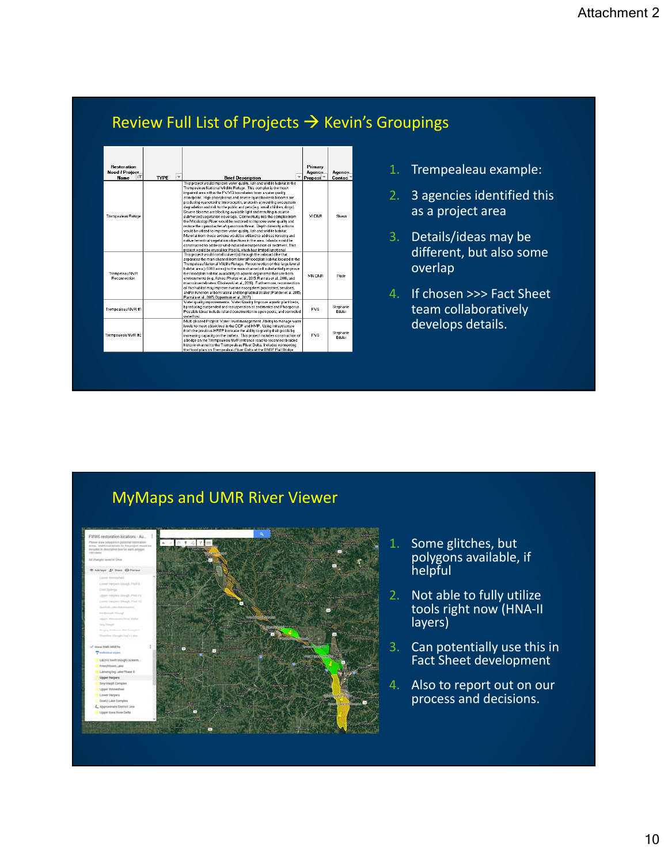# Review Full List of Projects  $\rightarrow$  Kevin's Groupings

| <b>Restoration</b><br><b>Need / Project</b><br>īΤ<br><b>Name</b> | <b>TYPE</b> | ▼<br><b>Brief Description</b>                                                                                                                                                                                                                                                                                                                                                                                                                                                                                                                                                                                                                                                                                                                                                                                                                                                                                                                                                                                                                                                                        | Primary<br>Agency<br>Proposi <sup>v</sup> | Acencu<br>Contac    |
|------------------------------------------------------------------|-------------|------------------------------------------------------------------------------------------------------------------------------------------------------------------------------------------------------------------------------------------------------------------------------------------------------------------------------------------------------------------------------------------------------------------------------------------------------------------------------------------------------------------------------------------------------------------------------------------------------------------------------------------------------------------------------------------------------------------------------------------------------------------------------------------------------------------------------------------------------------------------------------------------------------------------------------------------------------------------------------------------------------------------------------------------------------------------------------------------------|-------------------------------------------|---------------------|
| Trempealeau Refuge                                               |             | This project would improve water quality, fish and wildlife habitat in the<br>Trempealeau National Wildlife Refuge. This complex is the most<br>impaired area within the FWVG boundaries from a water quality<br>standpoint. High phosphorus and severe cuanobacteria blooms are<br>producing cuanotoxins (microcustin, anatoxin-a) resulting ecosustem<br>degradation and risk to the public and pets (e.g. small children, dogs).<br>Severe blooms are blocking available light and resulting in scarce<br>submersed vegetation coverage. Connectivity into the complex from<br>the Mississippi River would be restored to improve water quality and<br>reduce the cuanobacteria/ouanotoxin threat. Depth diversity actions<br>would be utlized to improve water quality, fish and wildlife habitat.<br>Material from these actions would be utilized to address forestru and<br>native terrestrial vegetation objectives in the area. Islands would be<br>constructed to address wind-induced resuspension of sediment. This<br>project would be crucial for Pool 6, which has limited functional | <b>MIDNB</b>                              | Shawn               |
| Trempeleau NVR<br><b>Beconnection</b>                            |             | This project would install culvertis) through the railroad dike that<br>separates the main channel from lateral/floodplain habitat located in the<br>Trempeleau National Wildlife Refuge. Reconnection of this large lateral<br>habitat area (>5000 acres) to the main channel will substantially improve<br>the floodplain habitat availability to aquatic organisms that use both<br>environments fe.g., fishes: Phelps et al., 2015: Rantala et al., 2016, and<br>macroinvertebrates: Obolewski et al., 2016). Furthermore, reconnection<br>of this habitat may improve riverine ecosystem processes, services,<br>and/or function at both lateral and longitudinal scales (Pander et al. 2015:<br>Bantala et al., 2015; Opperman et al., 2017).                                                                                                                                                                                                                                                                                                                                                  | <b>MNDNR</b>                              | <b>Bude</b>         |
| Trempealeau NVR #1                                               |             | Water quality improvements. Water Quality: Improve aquatic plant beds,<br>bu reducing suspended and resuspension of sediments and Phosporus.<br>Possible ideas include: island construction in open pools, and controled<br>waterflow.                                                                                                                                                                                                                                                                                                                                                                                                                                                                                                                                                                                                                                                                                                                                                                                                                                                               | <b>FVS</b>                                | Stephanie<br>Edelet |
| Trempealeau NWR#2                                                |             | Multi-phased Project: Water level management: Abilitiy to manage water<br>levels to meet objectives in the CCP and HMP. Using infrastructure<br>from the previous HREP increase the ability to gravity drain pools by<br>increasing capacity on the outlets. This project includes construction of<br>a bridge on the Trempealeau NWR entrance road to reconnect braided<br>historic channel to the Trempealeau River Delta. Includes connecting<br>the flood plain on Trempealeau River Delta at the BNSF Rail Bridge.                                                                                                                                                                                                                                                                                                                                                                                                                                                                                                                                                                              | <b>FVS</b>                                | Stephanie<br>Edeler |

- 1. Trempealeau example:
- 2. 3 agencies identified this as a project area
- 3. Details/ideas may be different, but also some overlap
- 4. If chosen >>> Fact Sheet team collaboratively develops details.

# MyMaps and UMR River Viewer



- 1. Some glitches, but polygons available, if helpful
- 2. Not able to fully utilize tools right now (HNA‐II layers)
- 3. Can potentially use this in Fact Sheet development
- 4. Also to report out on our process and decisions.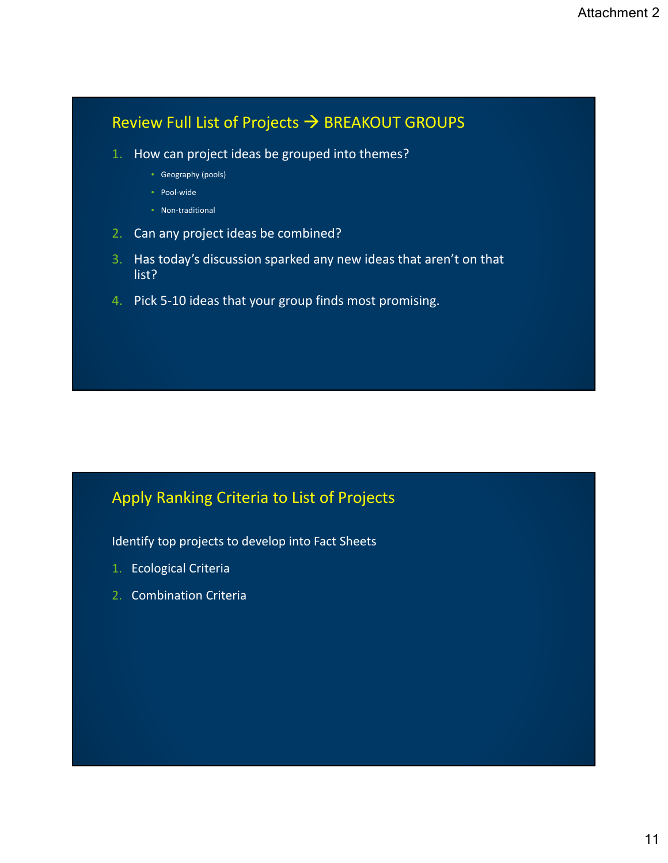# Review Full List of Projects  $\rightarrow$  BREAKOUT GROUPS

- 1. How can project ideas be grouped into themes?
	- Geography (pools)
	- Pool‐wide
	- Non-traditional
- 2. Can any project ideas be combined?
- 3. Has today's discussion sparked any new ideas that aren't on that list?
- 4. Pick 5‐10 ideas that your group finds most promising.

# Apply Ranking Criteria to List of Projects

Identify top projects to develop into Fact Sheets

- 1. Ecological Criteria
- 2. Combination Criteria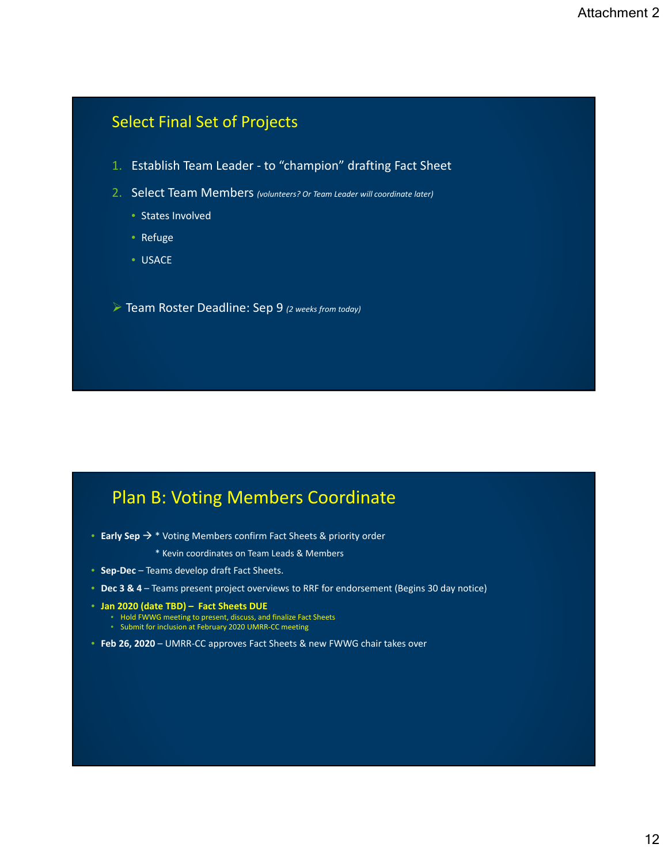# Select Final Set of Projects

- 1. Establish Team Leader ‐ to "champion" drafting Fact Sheet
- 2. Select Team Members *(volunteers? Or Team Leader will coordinate later)*
	- States Involved
	- Refuge
	- USACE

Team Roster Deadline: Sep 9 *(2 weeks from today)*

# Plan B: Voting Members Coordinate

- **Early Sep** \* Voting Members confirm Fact Sheets & priority order
	- \* Kevin coordinates on Team Leads & Members
- **Sep‐Dec** Teams develop draft Fact Sheets.
- **Dec 3 & 4** Teams present project overviews to RRF for endorsement (Begins 30 day notice)
- **Jan 2020 (date TBD) Fact Sheets DUE**
	- Hold FWWG meeting to present, discuss, and finalize Fact Sheets
	- Submit for inclusion at February 2020 UMRR‐CC meeting
- **Feb 26, 2020** UMRR‐CC approves Fact Sheets & new FWWG chair takes over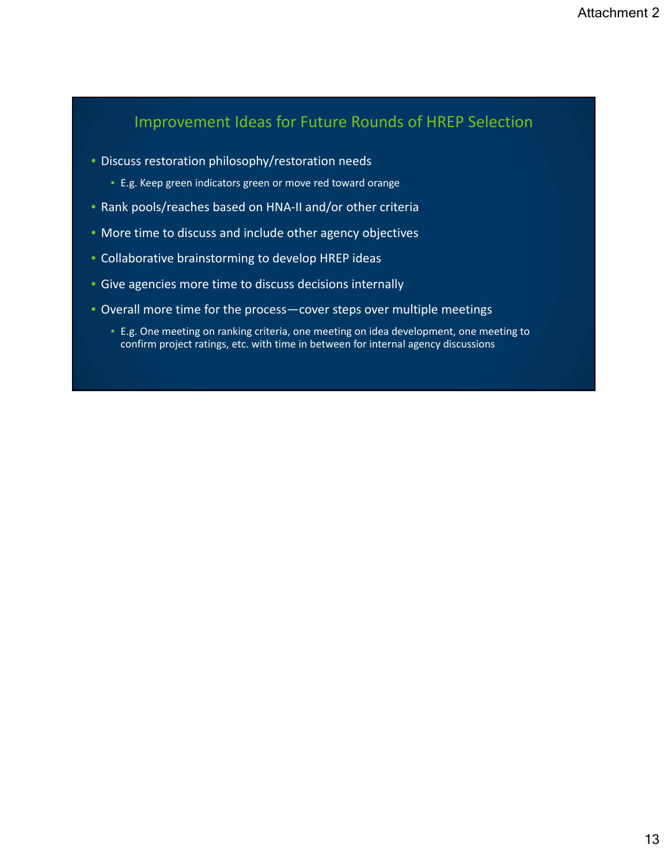# Improvement Ideas for Future Rounds of HREP Selection

- Discuss restoration philosophy/restoration needs
	- E.g. Keep green indicators green or move red toward orange
- Rank pools/reaches based on HNA‐II and/or other criteria
- More time to discuss and include other agency objectives
- Collaborative brainstorming to develop HREP ideas
- Give agencies more time to discuss decisions internally
- Overall more time for the process—cover steps over multiple meetings
	- E.g. One meeting on ranking criteria, one meeting on idea development, one meeting to confirm project ratings, etc. with time in between for internal agency discussions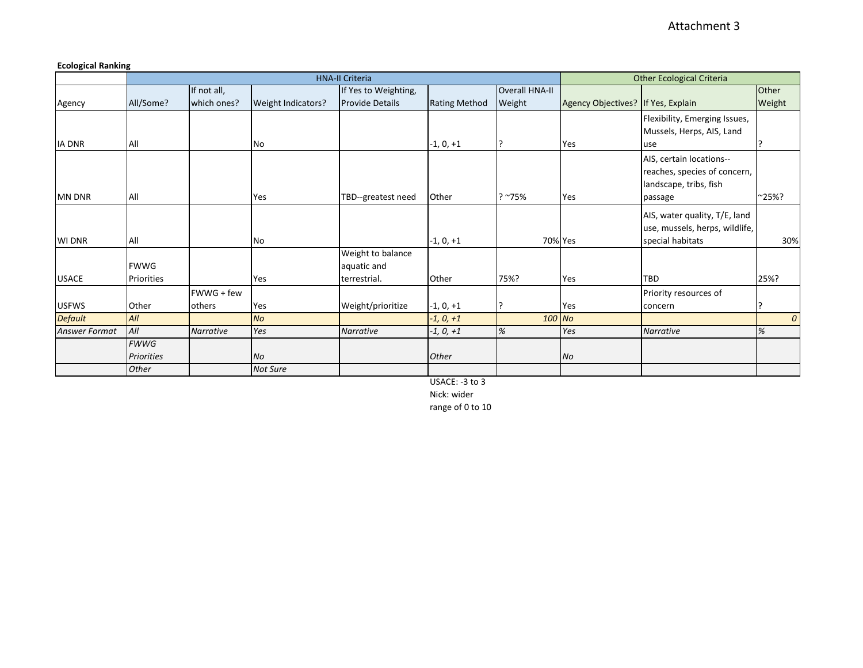### <span id="page-21-0"></span>**Ecological Ranking**

|                |                   |                  |                    | <b>HNA-II Criteria</b> |                      |                       |                                    | <b>Other Ecological Criteria</b> |               |  |  |
|----------------|-------------------|------------------|--------------------|------------------------|----------------------|-----------------------|------------------------------------|----------------------------------|---------------|--|--|
|                |                   | If not all,      |                    | If Yes to Weighting,   |                      | <b>Overall HNA-II</b> |                                    |                                  | <b>Other</b>  |  |  |
| Agency         | All/Some?         | which ones?      | Weight Indicators? | <b>Provide Details</b> | <b>Rating Method</b> | Weight                | Agency Objectives? If Yes, Explain |                                  | Weight        |  |  |
|                |                   |                  |                    |                        |                      |                       |                                    | Flexibility, Emerging Issues,    |               |  |  |
|                |                   |                  |                    |                        |                      |                       |                                    | Mussels, Herps, AIS, Land        |               |  |  |
| <b>IA DNR</b>  | All               |                  | No                 |                        | $-1, 0, +1$          |                       | Yes                                | use                              |               |  |  |
|                |                   |                  |                    |                        |                      |                       |                                    | AIS, certain locations--         |               |  |  |
|                |                   |                  |                    |                        |                      |                       |                                    | reaches, species of concern,     |               |  |  |
|                |                   |                  |                    |                        |                      |                       |                                    | landscape, tribs, fish           |               |  |  |
| <b>MN DNR</b>  | All               |                  | Yes                | TBD--greatest need     | Other                | $?~^{\sim}75\%$       | Yes                                | passage                          | ~25%?         |  |  |
|                |                   |                  |                    |                        |                      |                       |                                    | AIS, water quality, T/E, land    |               |  |  |
|                |                   |                  |                    |                        |                      |                       |                                    | use, mussels, herps, wildlife,   |               |  |  |
| WI DNR         | All               |                  | No                 |                        | $-1, 0, +1$          | 70% Yes               |                                    | special habitats                 | 30%           |  |  |
|                |                   |                  |                    | Weight to balance      |                      |                       |                                    |                                  |               |  |  |
|                | <b>FWWG</b>       |                  |                    | aquatic and            |                      |                       |                                    |                                  |               |  |  |
| <b>USACE</b>   | Priorities        |                  | Yes                | terrestrial.           | Other                | 75%?                  | Yes                                | <b>TBD</b>                       | 25%?          |  |  |
|                |                   | FWWG + few       |                    |                        |                      |                       |                                    | Priority resources of            |               |  |  |
| <b>USFWS</b>   | Other             | others           | Yes                | Weight/prioritize      | $-1, 0, +1$          |                       | Yes                                | concern                          |               |  |  |
| <b>Default</b> | All               |                  | <b>No</b>          |                        | $-1, 0, +1$          | 100 No                |                                    |                                  | $\mathcal{O}$ |  |  |
| Answer Format  | All               | <b>Narrative</b> | Yes                | <b>Narrative</b>       | $-1, 0, +1$          | $\%$                  | Yes                                | <b>Narrative</b>                 | %             |  |  |
|                | <b>FWWG</b>       |                  |                    |                        |                      |                       |                                    |                                  |               |  |  |
|                | <b>Priorities</b> |                  | <b>No</b>          |                        | Other                |                       | No                                 |                                  |               |  |  |
|                | Other             |                  | Not Sure           |                        |                      |                       |                                    |                                  |               |  |  |

USACE: -3 to 3

Nick: wider

range of 0 to 10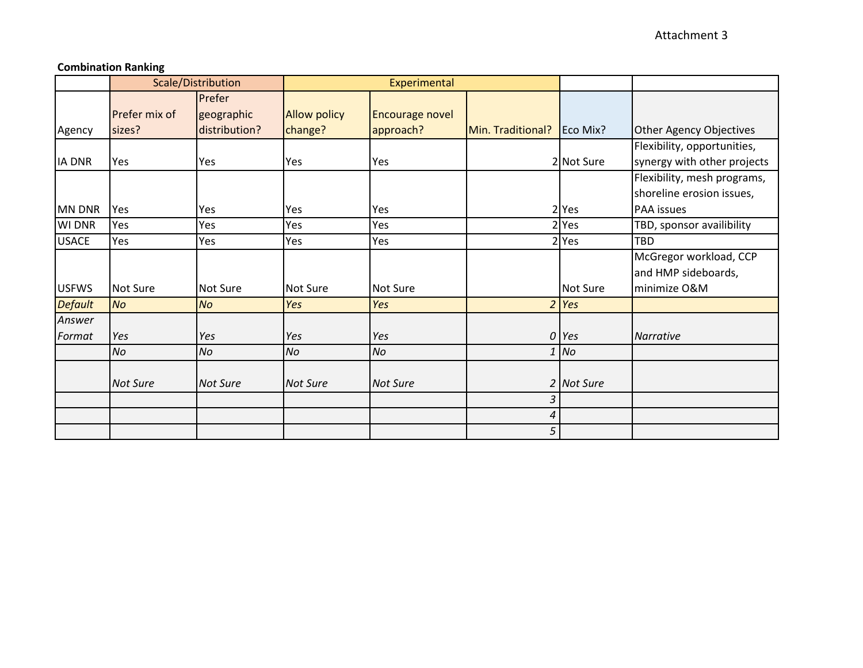### **Combination Ranking**

|                |                 | Scale/Distribution |                     | Experimental    |                   |            |                             |
|----------------|-----------------|--------------------|---------------------|-----------------|-------------------|------------|-----------------------------|
|                |                 | Prefer             |                     |                 |                   |            |                             |
|                | Prefer mix of   | geographic         | <b>Allow policy</b> | Encourage novel |                   |            |                             |
| Agency         | sizes?          | distribution?      | change?             | approach?       | Min. Traditional? | Eco Mix?   | Other Agency Objectives     |
|                |                 |                    |                     |                 |                   |            | Flexibility, opportunities, |
| <b>IA DNR</b>  | Yes             | Yes                | Yes                 | Yes             |                   | 2 Not Sure | synergy with other projects |
|                |                 |                    |                     |                 |                   |            | Flexibility, mesh programs, |
|                |                 |                    |                     |                 |                   |            | shoreline erosion issues,   |
| <b>MN DNR</b>  | Yes             | Yes                | Yes                 | Yes             |                   | 2 Yes      | PAA issues                  |
| <b>WI DNR</b>  | Yes             | Yes                | Yes                 | Yes             |                   | $2$ Yes    | TBD, sponsor availibility   |
| <b>USACE</b>   | Yes             | Yes                | Yes                 | Yes             |                   | $2$ Yes    | <b>TBD</b>                  |
|                |                 |                    |                     |                 |                   |            | McGregor workload, CCP      |
|                |                 |                    |                     |                 |                   |            | and HMP sideboards,         |
| <b>USFWS</b>   | <b>Not Sure</b> | Not Sure           | <b>Not Sure</b>     | <b>Not Sure</b> |                   | Not Sure   | minimize O&M                |
| <b>Default</b> | No              | <b>No</b>          | Yes                 | Yes             |                   | $2$ Yes    |                             |
| Answer         |                 |                    |                     |                 |                   |            |                             |
| Format         | Yes             | Yes                | Yes                 | Yes             |                   | 0 Yes      | Narrative                   |
|                | No              | No                 | No                  | No              |                   | $1$ No     |                             |
|                |                 |                    |                     |                 |                   |            |                             |
|                | <b>Not Sure</b> | <b>Not Sure</b>    | <b>Not Sure</b>     | <b>Not Sure</b> |                   | 2 Not Sure |                             |
|                |                 |                    |                     |                 | 3                 |            |                             |
|                |                 |                    |                     |                 | 4                 |            |                             |
|                |                 |                    |                     |                 | 5                 |            |                             |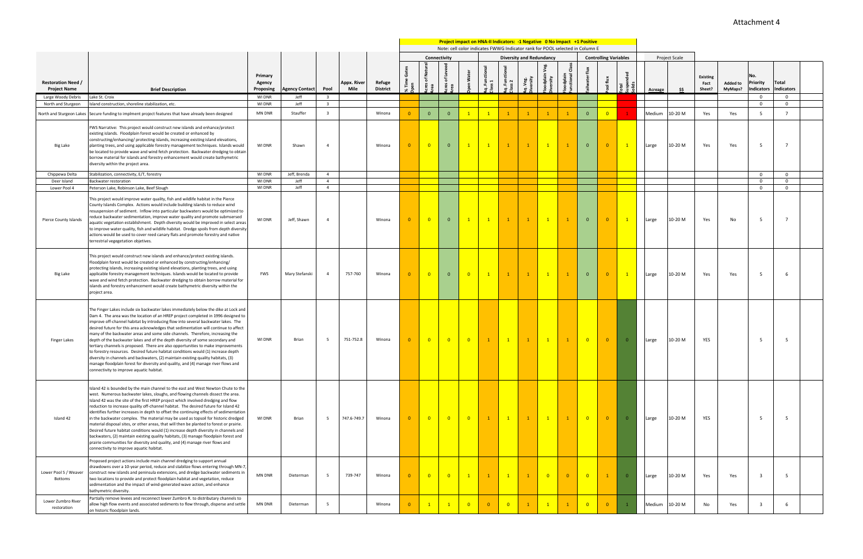|        |                  | Project Scale |                                   |                            |                                      |                            |  |
|--------|------------------|---------------|-----------------------------------|----------------------------|--------------------------------------|----------------------------|--|
| Solids | <b>Acreage</b>   | \$\$          | <b>Existing</b><br>Fact<br>Sheet? | <b>Added to</b><br>MyMaps? | No.<br>Priority<br><b>Indicators</b> | Total<br><b>Indicators</b> |  |
|        |                  |               |                                   |                            | 0                                    | 0                          |  |
|        |                  |               |                                   |                            | 0                                    | 0                          |  |
|        | Medium           | 10-20 M       | Yes                               | Yes                        | 5                                    | $\overline{7}$             |  |
|        | Large            | 10-20 M       | Yes                               | Yes                        | 5                                    | 7                          |  |
|        |                  |               |                                   |                            | 0                                    | 0                          |  |
|        |                  |               |                                   |                            | $\pmb{0}$                            | $\mathbf 0$                |  |
|        | Large            | 10-20 M       | Yes                               | No                         | 0<br>5                               | 0<br>7                     |  |
|        | Large            | 10-20 M       | Yes                               | Yes                        | 5                                    | 6                          |  |
|        | Large            | 10-20 M       | YES                               |                            | 5                                    | 5                          |  |
|        | Large            | 10-20 M       | YES                               |                            | 5                                    | 5                          |  |
|        | 10-20 M<br>Large |               | Yes                               | Yes                        | 3                                    | 5                          |  |
|        | Medium           | 10-20 M       | No                                | Yes                        | 3                                    | 6                          |  |

<span id="page-23-0"></span>**Project impact on HNA-II Indicators: -1 Negative 0 No Impact +1 Positive** Note: cell color indicates FWWG Indicator rank for POOL selected in Column E **Connectivity Diversity and Redundancy Controlling Variables Acres of Natural Functional Class Acres of Leveed Floodplain Veg. Aq. Functional Aq. Functional % Time Gates**  Ě **Tailwater flux Open Water Suspended Primary Floodplain**  rater  $\bar{5}$ **Pool flux Class 1 Class 2 Aq. Veg. Diversity Diversity Restoration Need /**  Appx. Rive **Refuge Agency Area Area Total Open Proposing Agency Contact Pool Mile District Brief Description** Large Woody Debris Lake St. Croix WI DNR Jeff 3 0 0 North and Sturgeon Island construction, shoreline stabilization, etc. WI DNR Jeff 3 0 0 North and Sturgeon Lakes Secure funding to implment project features that have already been designed MN DNR Stauffer 3 Winona 0 0 0 0 1 1 1 1 1 1 1 1 0 0 FWS Narrative: This project would construct new islands and enhance/protect existing islands. Floodplain forest would be created or enhanced by constructing/enhancing/ protecting islands, increasing existing island elevations, Big Lake planting trees, and using applicable forestry management techniques. Islands would WI DNR Shawn 4 Winona 0 0 0 1 1 1 1 1 1 0 0 1 Large 10-20 M Yes Yes 5 7 be located to provide wave and wind fetch protection. Backwater dredging to obtain borrow material for islands and forestry enhancement would create bathymetric diversity within the project area. Chippewa Delta Stabilization, connectivity, E/T, forestry WI DNR Jeff, Brenda 4 0 0 Deer Island Backwater restoration WI DNR Jeff 4 0 0 Lower Pool 4 Peterson Lake, Robinson Lake, Beef Slough WI DNR Jeff 4 0 0 This project would improve water quality, fish and wildlife habitat in the Pierce County Islands Complex. Actions would include building islands to reduce wind resuspension of sediment. Inflow into particular backwaters would be optimized to reduce backwater sedimentation, improve water quality and promote submsersed Pierce County Islands WI DNR Jeff, Shawn 4 Winona 0 0 0 1 1 1 1 1 1 0 0 1 Large 10-20 M Yes No 5 7 aquatic vegetation establishment. Depth diversity would be improved in select areas to improve water quality, fish and wildlife habitat. Dredge spoils from depth diversity actions would be used to cover reed canary flats and promote forestry and native terrestrial vegegetation objetives. This project would construct new islands and enhance/protect existing islands. Floodplain forest would be created or enhanced by constructing/enhancing/ protecting islands, increasing existing island elevations, planting trees, and using applicable forestry management techniques. Islands would be located to provide Big Lake FWS Mary Stefanski 4 757-760 Winona 0 0 0 0 1 1 1 1 1 0 0 1 Large 10-20 M Yes Yes 5 6 wave and wind fetch protection. Backwater dredging to obtain borrow material for islands and forestry enhancement would create bathymetric diversity within the project area. The Finger Lakes include six backwater lakes immediately below the dike at Lock and Dam 4. The area was the location of an HREP project completed in 1996 designed to improve off-channel habitat by introducing flow into several backwater lakes. The desired future for this area acknowledges that sedimentation will continue to affect many of the backwater areas and some side channels. Therefore, increasing the Finger Lakes depth of the backwater lakes and of the depth diversity of some secondary and WI DNR Brian 5 751-752.8 Winona 0 0 0 0 1 1 1 1 1 0 0 0 Large 10-20 M YES 5 5 tertiary channels is proposed. There are also opportunities to make improvements to forestry resources. Desired future habitat conditions would (1) increase depth diversity in channels and backwaters, (2) maintain existing quality habitats, (3) manage floodplain forest for diversity and quality, and (4) manage river flows and connectivity to improve aquatic habitat. Island 42 is bounded by the main channel to the east and West Newton Chute to the west. Numerous backwater lakes, sloughs, and flowing channels dissect the area. Island 42 was the site of the first HREP project which involved dredging and flow reduction to increase quality off-channel habitat. The desired future for Island 42 identifies further increases in depth to offset the continuing effects of sedimentation Island 42 in the backwater complex. The material may be used as topsoil for historic dredged WI DNR Brian 5 747.6-749.7 Winona 0 0 0 0 1 1 1 1 1 0 0 0 Large 10-20 M YES 5 5 material disposal sites, or other areas, that will then be planted to forest or prairie. Desired future habitat conditions would (1) increase depth diversity in channels and backwaters, (2) maintain existing quality habitats, (3) manage floodplain forest and prairie communities for diversity and quality, and (4) manage river flows and connectivity to improve aquatic habitat. Proposed project actions include main channel dredging to support annual drawdowns over a 10-year period, reduce and stabilize flows entering through MN-7, Lower Pool 5 / Weaver construct new islands and peninsula extensions, and dredge backwater sediments in MN DNR Dieterman 5 739-747 Winona 0 0 0 1 1 1 1 0 0 0 1 0 Large 10-20 M Yes Yes 3 5 Bottoms two locations to provide and protect floodplain habitat and vegetation, reduce sedimentation and the impact of wind-generated wave action, and enhance bathymetric diversity. Partially remove levees and reconnect lower Zumbro R. to distributary channels to Lower Zumbro River allow high flow events and associated sediments to flow through, disperse and settle MN DNR Dieterman 5 Winona 0 1 1 0 0 0 1 1 1 0 0 1 Medium 10-20 M No Yes 3 6 restoration on historic floodplain lands.

## Attachment 4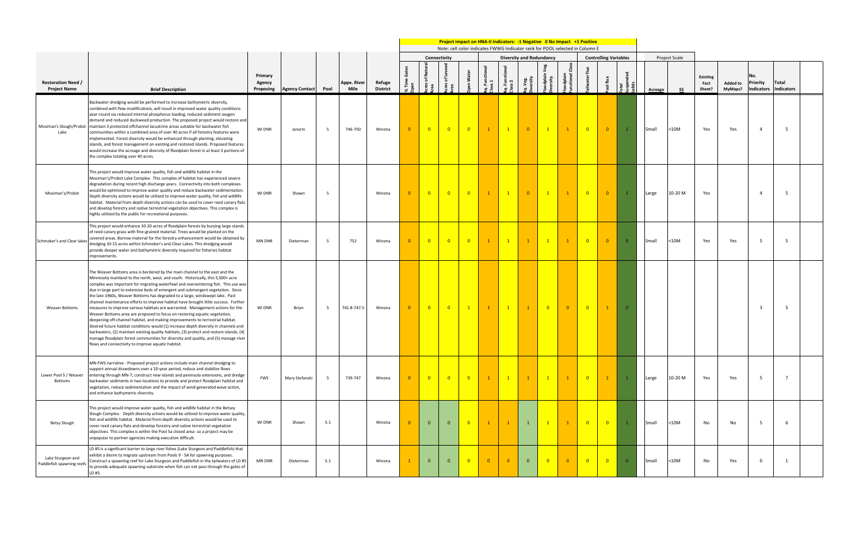**Solids**

|         | Project Scale |                            |                            |                                      |                     |  |
|---------|---------------|----------------------------|----------------------------|--------------------------------------|---------------------|--|
| Acreage | \$\$          | Existing<br>Fact<br>Sheet? | <b>Added to</b><br>MyMaps? | No.<br>Priority<br><b>Indicators</b> | Total<br>Indicators |  |
| Small   | $<$ 10M $\,$  | Yes                        | Yes                        | 4                                    | 5                   |  |
| Large   | 10-20 M       | Yes                        |                            | 4                                    | 5                   |  |
| Small   | $<$ 10M $\,$  | Yes                        | Yes                        | 5                                    | 5                   |  |
|         |               |                            |                            | 3                                    | 5                   |  |
| Large   | 10-20 M       | Yes                        | Yes                        | 5                                    | $\overline{7}$      |  |
| Small   | $<$ 10M       | No                         | No                         | 5                                    | 6                   |  |
| Small   | $<$ 10M $\,$  | No                         | Yes                        | $\pmb{0}$                            | $\mathbf 1$         |  |

**Project impact on HNA-II Indicators: -1 Negative 0 No Impact +1 Positive** Note: cell color indicates FWWG Indicator rank for POOL selected in Column E **Connectivity Diversity and Redundancy Controlling Variables Acres of Natural Functional Class Acres of Leveed Floodplain Veg. Aq. Functional Aq. Functional % Time Gates**   ${\tt flux}$ **Tailwater flux Open Water Area** odplain<br>nctional ᇃ **Suspended Primary Floodplain Diversity** water 1 **Class 1 Class 2 Pool flux Aq. Veg. Diversity Restoration Need / Appx. River Agency Refuge**  .ខំ <sub>សិ</sub> **Area Total Proposing Agency Contact Pool Mile District Brief Description** Backwater dredging would be performed to increase bathymetric diversity, combined with flow modifications, will result in improved water quality conditions year-round via reduced internal phosphorus loading, reduced sediment oxygen demand and reduced duckweed production. The proposed project would restore and Mosiman's Slough/Probst maintain 3 protected offchannel lacustrine areas suitable for backwater fish WI DNR Janvrin 5 746-750 Winona 0 0 0 0 1 1 0 1 1 0 0 1 Small <10M Yes Yes 4 5 communities within a combined area of over 40 acres if all forestry features were Lake implemented. Forest diversity would be enhanced through planting, elevating islands, and forest management on existing and restored islands. Proposed features would increase the acreage and diversity of floodplain forest in at least 3 portions of the complex totaling over 40 acres. This project would improve water quality, fish and wildlife habitat in the Mosiman's/Probst Lake Complex. This complex of habitat has experienced severe degradation during recent high discharge years. Connectivity into both complexes would be optimized to improve water quality and reduce backwater sedimentation. Mosiman's/Probst WI DNR Shawn 5 Winona 0 0 0 0 1 1 0 1 1 0 0 1 Large 10-20 M Yes 4 5 Depth diversity actions would be utilized to improve water quality, fish and wildlife habitat. Material from depth diversity actions can be used to cover reed canary flats and develop forestry and native terrestrial vegetation objectives. This complex is highly utilized by the public for recreational purposes. This project would enhance 10-20 acres of floodplain forests by burying large stands of reed canary grass with fine-grained material. Trees would be planted on the covered areas. Borrow material for the forestry enhancement would be obtained by Schmoker's and Clear lakes MN DNR Dieterman 5 752 Winona 0 0 0 0 1 1 1 1 1 0 0 0 Small <10M Yes Yes 5 5 dredging 10-15 acres within Schmoker's and Clear Lakes. This dredging would provide deeper water and bathymetric diversity required for fisheries habitat improvements. The Weaver Bottoms area is bordered by the main channel to the east and the Minnesota mainland to the north, west, and south. Historically, this 5,500+ acre complex was important for migrating waterfowl and overwintering fish. This use was due in large part to extensive beds of emergent and submergent vegetation. Since the late-1960s, Weaver Bottoms has degraded to a large, windswept lake. Past channel maintenance efforts to improve habitat have brought little success. Further Weaver Bottoms measures to improve various habitats are warranted. Management actions for the WIDNR | Brian | 5 |741.8-747.5 | Winona <mark>| 0 | 0 | 0 | 1 | 1 | 1 | 0 | 0 | 0 | 1 |</mark> 0 | | | | | | | | | 3 | 5 Weaver Bottoms area are proposed to focus on restoring aquatic vegetation, deepening off-channel habitat, and making improvements to terrestrial habitat. Desired future habitat conditions would (1) increase depth diversity in channels and backwaters, (2) maintain existing quality habitats, (3) protect and restore islands, (4) manage floodplain forest communities for diversity and quality, and (5) manage river flows and connectivity to improve aquatic habitat. MN-FWS narrative - Proposed project actions include main channel dredging to support annual drawdowns over a 10-year period, reduce and stabilize flows Lower Pool 5 / Weaver entering through MN-7, construct new islands and peninsula extensions, and dredge FWS | Mary Stefanski | 5 | 739-747 | Winona <mark>| 0 | 0 | 0 | 0 | 0 | 1 | 1 | 1 | 1 | 0 | 1 |</mark> 1 | |Large |10-20 M | Yes | Yes | 5 | 7 Bottoms backwater sediments in two locations to provide and protect floodplain habitat and vegetation, reduce sedimentation and the impact of wind-generated wave action, and enhance bathymetric diversity. This project would improve water quality, fish and wildlife habitat in the Betsey Slough Complex. Depth diversity actions would be utilized to improve water quality, fish and wildlife habitat. Material from depth diversity actions would be used to Betsy Slough WI DNR Shawn 5.1 Winona 0 0 0 0 1 1 1 1 1 0 0 1 Small <10M No No 5 6 cover reed canary flats and develop forestry and native terrestrial vegetation objectives. This complex is within the Pool 5a closed area- so a project may be unpopular to partner agencies making execution difficult. LD #5 is a significant barrier to large river fishes (Lake Sturgeon and Paddlefish) that exhibit a desire to migrate upstream from Pools 9 - 5A for spawning purposes. Lake Sturgeon and Construct a spawning reef for Lake Sturgeon and Paddlefish in the tailwaters of LD #5 MN DNR Dieterman 5.1 Winona 1 0 0 0 0 0 0 0 0 0 0 0 Small <10M No Yes 0 1Paddlefish spawning reefs to provide adequate spawning substrate when fish can not pass through the gates of LD #5.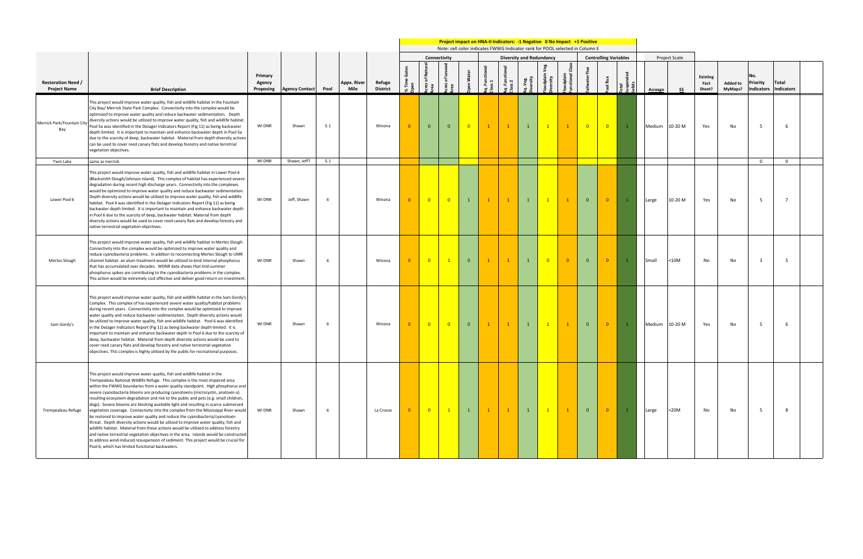**Solids**

|         | Project Scale |                            |                            |                                      |                          |  |
|---------|---------------|----------------------------|----------------------------|--------------------------------------|--------------------------|--|
| Acreage | \$\$          | Existing<br>Fact<br>Sheet? | <b>Added to</b><br>MyMaps? | No.<br>Priority<br><b>Indicators</b> | Total<br>Indicators      |  |
| Medium  | 10-20 M       | Yes                        | No                         | 5                                    | 6                        |  |
|         |               |                            |                            | $\pmb{0}$                            | 0                        |  |
| Large   | 10-20 M       | Yes                        | No                         | 5                                    | $\overline{\phantom{a}}$ |  |
| Small   | $<$ 10M       | No                         | No                         | 3                                    | 5                        |  |
| Medium  | 10-20 M       | Yes                        | No                         | 5                                    | 6                        |  |
| Large   | $>20M$        | No                         | No                         | 5                                    | 8                        |  |

**Project impact on HNA-II Indicators: -1 Negative 0 No Impact +1 Positive** Note: cell color indicates FWWG Indicator rank for POOL selected in Column E **Connectivity Diversity and Redundancy Controlling Variables Acres of Natural Functional Class Acres of Leveed Floodplain Veg. Aq. Functional Aq. Functional % Time Gates**   ${\tt flux}$ **Tailwater flux Open Water Suspended Primary**  ອະ odplain<br>nctional **Floodplain Diversity** vater **Class 2 Pool flux Class 1 Aq. Veg. Diversity Restoration Need / Appx. River Agency Refuge**  န်း ရ **Area Area Total Proposing Agency Contact Pool Mile District Brief Description** This project would improve water quality, fish and wildlife habitat in the Fountain City Bay/ Merrick State Park Complex. Connectivity into the complex would be optimized to improve water quality and reduce backwater sedimentation. Depth<br>diversity actions would be utilized to improve water quality fish and wildlife babitat diversity actions would be utilized to improve water quality, fish and wildlife habitat. Merrick Park/Fountain City WI DNR | Shawn | 5.1 | | | Winona <mark>| 0 |</mark> 0 | 0 | 0 | 1 | 1 | 1 | 1 | 0 | 0 | 1 | Medium |10-20 M | Yes | No | 5 | 6 Pool 5a was identified in the DeJager Indicators Report (Fig 11) as being backwater Bay depth limited. It is important to maintain and enhance backwater depth in Pool 5a due to the scarcity of deep, backwater habitat. Material from depth diversity actions can be used to cover reed canary flats and develop forestry and native terretrial vegetation objectives. Twin Lake same as merrick WI DNR Shawn, Jeff? 5.1 0 0 This project would improve water quality, fish and wildlife habitat in Lower Pool 6 (Blacksmith Slough/Johnson Island). This complex of habitat has experienced severe degradation during recent high discharge years. Connectivity into the complexes would be optimized to improve water quality and reduce backwater sedimentation. Depth diversity actions would be utilized to improve water quality, fish and wildlife Lower Pool 6 WI DNR Jeff, Shawn 6 Winona 0 0 0 1 1 1 1 1 1 0 0 1 Large 10-20 M Yes No 5 7 habitat. Pool 6 was identified in the DeJager Indicators Report (Fig 11) as being backwater depth limited. It is important to maintain and enhance backwater depth in Pool 6 due to the scarcity of deep, backwater habitat. Material from depth diversity actions would be used to cover reed canary flats and develop forestry and native terrestrial vegetation objectives. This project would improve water quality, fish and wildlife habitat in Mertes Slough. Connectivity into the complex would be optimized to improve water quality and reduce cyanobacteria problems. In addtion to reconnecting Mertes Slough to UMR Mertes Slough channel habitat- an alum treatment would be utilized to bind internal phosphorus WI DNR Shawn 6 Winona 0 0 1 0 1 1 1 0 0 0 0 1 Small <10M No No 3 5 that has accumulated over decades. WDNR data shows that mid-summer phosphorus spikes are contributing to the cyanobacteria problems in the complex. This action would be extremely cost effective and deliver good return on investment. This project would improve water quality, fish and wildlife habitat in the Sam Gordy's Complex. This complex of has experienced severe water quality/habitat problems during recent years. Connectivity into the complex would be optimized to improve water quality and reduce backwater sedimentation. Depth diversity actions would be utilized to improve water quality, fish and wildlife habitat. Pool 6 was identified Sam Gordy's WI DNR Shawn 6 Winona 0 0 0 0 1 1 1 1 1 0 0 1 Medium 10-20 M Yes No 5 6 in the DeJager Indicators Report (Fig 11) as being backwater depth limited. It is important to maintain and enhance backwater depth in Pool 6 due to the scarcity of deep, backwater habitat. Material from depth diversity actions would be used to cover reed canary flats and develop forestry and native terrestrial vegetation objectives. This complex is highly utilized by the public for recreational purposes. This project would improve water quality, fish and wildlife habitat in the Trempealeau National Wildlife Refuge. This complex is the most impaired area within the FWWG boundaries from a water quality standpoint. High phosphorus and severe cyanobacteria blooms are producing cyanotoxins (microcystin, anatoxin-a) resulting ecosystem degradation and risk to the public and pets (e.g. small children, dogs). Severe blooms are blocking available light and resulting in scarce submersed Trempealeau Refuge vegetation coverage. Connectivity into the complex from the Mississippi River would WI DNR Shawn 6 La Crosse 0 0 1 1 1 1 1 1 1 0 0 1 Large >20M No No 5 8be restored to improve water quality and reduce the cyanobacteria/cyanotoxin threat. Depth diversity actions would be utlized to improve water quality, fish and wildlife habitat. Material from these actions would be utilized to address forestry and native terrestrial vegetation objectives in the area. Islands would be constructed to address wind-induced resuspension of sediment. This project would be crucial for Pool 6, which has limited functional backwaters.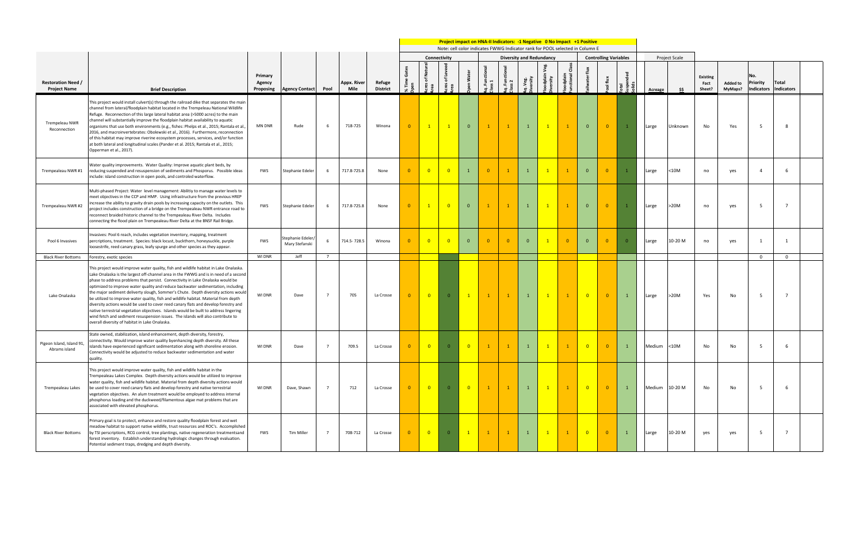|                                                  |                                                                                                                                                                                                                                                                                                                                                                                                                                                                                                                                                                                                                                                                                                                                                                                                                                                         |                                |                                     |                |                     |                           | <b>Project impact on HNA-II Indicators: -1 Negative 0 No Impact +1 Positive</b><br>Note: cell color indicates FWWG Indicator rank for POOL selected in Column E<br><b>Diversity and Redundancy</b> |                            |                |                         |                 |                |                |                |                |                            |                              |                |         |                      |                                   |                            |                                      |                     |
|--------------------------------------------------|---------------------------------------------------------------------------------------------------------------------------------------------------------------------------------------------------------------------------------------------------------------------------------------------------------------------------------------------------------------------------------------------------------------------------------------------------------------------------------------------------------------------------------------------------------------------------------------------------------------------------------------------------------------------------------------------------------------------------------------------------------------------------------------------------------------------------------------------------------|--------------------------------|-------------------------------------|----------------|---------------------|---------------------------|----------------------------------------------------------------------------------------------------------------------------------------------------------------------------------------------------|----------------------------|----------------|-------------------------|-----------------|----------------|----------------|----------------|----------------|----------------------------|------------------------------|----------------|---------|----------------------|-----------------------------------|----------------------------|--------------------------------------|---------------------|
|                                                  |                                                                                                                                                                                                                                                                                                                                                                                                                                                                                                                                                                                                                                                                                                                                                                                                                                                         |                                |                                     |                |                     |                           |                                                                                                                                                                                                    |                            | Connectivity   |                         |                 |                |                |                |                |                            | <b>Controlling Variables</b> |                |         | <b>Project Scale</b> |                                   |                            |                                      |                     |
| <b>Restoration Need /</b><br><b>Project Name</b> | <b>Brief Description</b>                                                                                                                                                                                                                                                                                                                                                                                                                                                                                                                                                                                                                                                                                                                                                                                                                                | Primary<br>Agency<br>Proposing | <b>Agency Contact</b>               | Pool           | Appx. River<br>Mile | Refuge<br><b>District</b> | ≫ং                                                                                                                                                                                                 | of Nat                     | ৳<br>ខី តួ     | Water                   | Functio<br>SS 1 | ្ត្រី ្ល       | veg.<br>vity   | Ê              | 등 쿋            |                            | ∓                            |                | Acreage | S\$                  | <b>Existing</b><br>Fact<br>Sheet? | <b>Added to</b><br>MyMaps? | No.<br><b>Priority</b><br>Indicators | Total<br>Indicators |
| Trempeleau NWR<br>Reconnection                   | This project would install culvert(s) through the railroad dike that separates the main<br>channel from lateral/floodplain habitat located in the Trempeleau National Wildlife<br>Refuge. Reconnection of this large lateral habitat area (>5000 acres) to the main<br>channel will substantially improve the floodplain habitat availability to aquatic<br>organisms that use both environments (e.g., fishes: Phelps et al., 2015; Rantala et al.<br>2016, and macroinvertebrates: Obolewski et al., 2016). Furthermore, reconnection<br>of this habitat may improve riverine ecosystem processes, services, and/or function<br>at both lateral and longitudinal scales (Pander et al. 2015; Rantala et al., 2015;<br>Opperman et al., 2017).                                                                                                         | <b>MN DNR</b>                  | Rude                                |                | 718-725             | Winona                    | $\Omega$                                                                                                                                                                                           |                            | $\mathbf{1}$   | $\overline{0}$          |                 |                |                | $\overline{1}$ | $\mathbf{1}$   | $\mathbf{0}$               | $\overline{0}$               | $\overline{1}$ | Large   | Unknown              | No                                | Yes                        |                                      |                     |
| Trempealeau NWR #1                               | Water quality improvements. Water Quality: Improve aquatic plant beds, by<br>reducing suspended and resuspension of sediments and Phosporus. Possible ideas<br>include: island construction in open pools, and controled waterflow.                                                                                                                                                                                                                                                                                                                                                                                                                                                                                                                                                                                                                     | FWS                            | Stephanie Edeler                    |                | 717.8-725.8         | None                      | $\Omega$                                                                                                                                                                                           | $\overline{0}$             | $\overline{0}$ | $\mathbf{1}$            |                 |                |                | $\overline{1}$ |                | $\mathbf{0}$               | $\overline{0}$               | $\overline{1}$ | Large   | $10M$                | no                                | yes                        |                                      | -6                  |
| Trempealeau NWR #2                               | Multi-phased Project: Water level management: Abilitiy to manage water levels to<br>meet objectives in the CCP and HMP. Using infrastructure from the previous HREP<br>ncrease the ability to gravity drain pools by increasing capacity on the outlets. This<br>project includes construction of a bridge on the Trempealeau NWR entrance road to<br>reconnect braided historic channel to the Trempealeau River Delta. Includes<br>connecting the flood plain on Trempealeau River Delta at the BNSF Rail Bridge.                                                                                                                                                                                                                                                                                                                                     | FWS                            | Stephanie Edeler                    |                | 717.8-725.8         | None                      | $\overline{0}$                                                                                                                                                                                     |                            | $\overline{0}$ | $\overline{0}$          |                 |                |                | $\mathbf{1}$   |                | $\mathbf{0}$               | $\overline{0}$               | $\mathbf{1}$   | Large   | >20M                 | no                                | yes                        | - 5                                  | $\overline{7}$      |
| Pool 6 Invasives                                 | nvasives: Pool 6 reach, includes vegetation inventory, mapping, treatment<br>percriptions, treatment. Species: black locust, buckthorn, honeysuckle, purple<br>loosestrife, reed canary grass, leafy spurge and other species as they appear.                                                                                                                                                                                                                                                                                                                                                                                                                                                                                                                                                                                                           | <b>FWS</b>                     | Stephanie Edeler/<br>Mary Stefanski |                | 714.5-728.5         | Winona                    | $\Omega$                                                                                                                                                                                           |                            | $\overline{0}$ | $\overline{0}$          |                 | $\overline{0}$ | $\overline{0}$ |                | $\overline{0}$ | $\mathbf{0}$               | $\overline{0}$               | $\overline{0}$ | Large   | 10-20 M              | no                                | yes                        |                                      |                     |
| <b>Black River Bottoms</b>                       | Forestry, exotic species                                                                                                                                                                                                                                                                                                                                                                                                                                                                                                                                                                                                                                                                                                                                                                                                                                | WI DNR                         | Jeff                                | $\overline{7}$ |                     |                           |                                                                                                                                                                                                    |                            |                |                         |                 |                |                |                |                |                            |                              |                |         |                      |                                   |                            | $\overline{\mathbf{0}}$              | $\overline{0}$      |
| Lake Onalaska                                    | This project would improve water quality, fish and wildlife habitat in Lake Onalaska.<br>Lake Onalaska is the largest off-channel area in the FWWG and is in need of a second<br>phase to address problems that persist. Connectivity in Lake Onalaska would be<br>optimized to improve water quality and reduce backwater sedimentation, including<br>the major sediment deliverty slough, Sommer's Chute. Depth diversity actions would<br>be utilized to improve water quality, fish and wildlife habitat. Material from depth<br>diversity actions would be used to cover reed canary flats and develop forestry and<br>native terrestrial vegetation objectives. Islands would be built to address lingering<br>wind fetch and sediment resuspension issues. The islands will also contribute to<br>overall diversity of habitat in Lake Onalaska. | WI DNR                         | Dave                                |                | 705                 | La Crosse                 |                                                                                                                                                                                                    | $\overline{\mathbf{0}}$    | $\overline{0}$ | $\mathbf{1}$            | $\mathbf{1}$    | $\mathbf{1}$   |                | $\overline{1}$ |                | $\overline{\mathbf{0}}$    | $\overline{0}$               | $\mathbf{1}$   | Large   | >20M                 | Yes                               | No                         | - 5                                  | $\overline{7}$      |
| Pigeon Island, Island 91,<br>Abrams island       | State owned, stabilization, island enhancement, depth diversity, forestry,<br>connectivity. Would improve water quality byenhancing depth diversity. All these<br>islands have experienced significant sedimentation along with shoreline erosion.<br>Connectivity would be adjusted to reduce backwater sedimentation and water<br>quality.                                                                                                                                                                                                                                                                                                                                                                                                                                                                                                            | WI DNR                         | Dave                                |                | 709.5               | La Crosse                 | $\Omega$                                                                                                                                                                                           | $\overline{\mathbf{0}}$    | $\overline{0}$ | $\overline{\mathbf{0}}$ | $\mathbf{1}$    | $\mathbf{1}$   |                | $\mathbf{1}$   |                | $\overline{\phantom{0}}$ 0 | $\overline{0}$               | $\mathbf{1}$   | Medium  | $<$ 10M              | No                                | No                         |                                      | 6                   |
| Trempealeau Lakes                                | This project would improve water quality, fish and wildlife habitat in the<br>Trempealeau Lakes Complex. Depth diversity actions would be utilized to improve<br>water quality, fish and wildlife habitat. Material from depth diversity actions would<br>be used to cover reed canary flats and develop forestry and native terrestrial<br>vegetation objectives. An alum treatment would be employed to address internal<br>phosphorus loading and the duckweed/filamentous algae mat problems that are<br>associated with elevated phosphorus.                                                                                                                                                                                                                                                                                                       | WI DNR                         | Dave, Shawn                         |                | 712                 | La Crosse                 |                                                                                                                                                                                                    | $\overline{\phantom{0}}$ 0 | $\overline{0}$ | $\overline{\mathbf{0}}$ | $\mathbf{1}$    | $\mathbf{1}$   |                | $\mathbf{1}$   | $\mathbf{1}$   | $\overline{\phantom{0}}$   | $\overline{0}$               | $\mathbf{1}$   |         | Medium 10-20 M       | No                                | No                         | - 5                                  | 6                   |
| <b>Black River Bottoms</b>                       | Primary goal is to protect, enhance and restore quality floodplain forest and wet<br>meadow habitat to support native wildlife, trust resources and ROC's. Accomplished<br>by TSI perscriptions, RCG control, tree plantings, native regeneration treatmentsand<br>forest inventory. Establish understanding hydrologic changes through evaluation.<br>Potential sediment traps, dredging and depth diversity.                                                                                                                                                                                                                                                                                                                                                                                                                                          | <b>FWS</b>                     | Tim Miller                          | 7              | 708-712             | La Crosse                 | $\mathbf{0}$                                                                                                                                                                                       | $\overline{\mathbf{0}}$    | $\overline{0}$ | $\mathbf{1}$            |                 | $\mathbf{1}$   |                | $\mathbf{1}$   |                | $\overline{\mathbf{0}}$    | $\overline{0}$               | $\mathbf{1}$   | Large   | 10-20 M              | yes                               | yes                        | - 5                                  | $\overline{7}$      |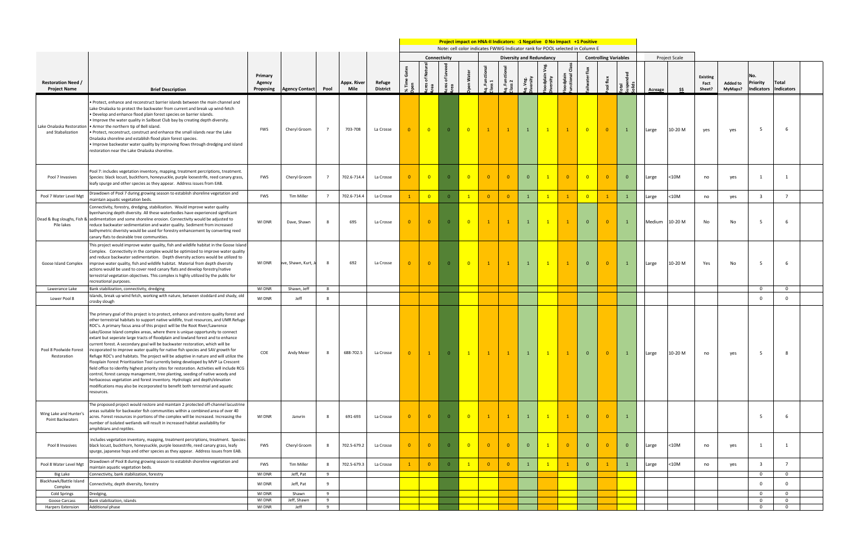|                                                  |                                                                                                                                                                                                                                                                                                                                                                                                                                                                                                                                                                                                                                                                                                                                                                                                                                                                                                                                                                                                                                                                                                                                                        |                                |                       |                |                     |                           |          |                            |                         |                          | <b>Project impact on HNA-II Indicators: -1 Negative 0 No Impact +1 Positive</b><br>Note: cell color indicates FWWG Indicator rank for POOL selected in Column E |                |                                 |                |                |                          |                              |              |         |                      |                                   |                            |                                             |                            |  |
|--------------------------------------------------|--------------------------------------------------------------------------------------------------------------------------------------------------------------------------------------------------------------------------------------------------------------------------------------------------------------------------------------------------------------------------------------------------------------------------------------------------------------------------------------------------------------------------------------------------------------------------------------------------------------------------------------------------------------------------------------------------------------------------------------------------------------------------------------------------------------------------------------------------------------------------------------------------------------------------------------------------------------------------------------------------------------------------------------------------------------------------------------------------------------------------------------------------------|--------------------------------|-----------------------|----------------|---------------------|---------------------------|----------|----------------------------|-------------------------|--------------------------|-----------------------------------------------------------------------------------------------------------------------------------------------------------------|----------------|---------------------------------|----------------|----------------|--------------------------|------------------------------|--------------|---------|----------------------|-----------------------------------|----------------------------|---------------------------------------------|----------------------------|--|
|                                                  |                                                                                                                                                                                                                                                                                                                                                                                                                                                                                                                                                                                                                                                                                                                                                                                                                                                                                                                                                                                                                                                                                                                                                        |                                |                       |                |                     |                           |          | Connectivity               |                         |                          |                                                                                                                                                                 |                | <b>Diversity and Redundancy</b> |                |                |                          | <b>Controlling Variables</b> |              |         | <b>Project Scale</b> |                                   |                            |                                             |                            |  |
| <b>Restoration Need /</b><br><b>Project Name</b> | <b>Brief Description</b>                                                                                                                                                                                                                                                                                                                                                                                                                                                                                                                                                                                                                                                                                                                                                                                                                                                                                                                                                                                                                                                                                                                               | Primary<br>Agency<br>Proposing | <b>Agency Contact</b> | Pool           | Appx. River<br>Mile | Refuge<br><b>District</b> | ৯ৎ       | z<br>'ত<br>ិ<br>ខេ         | ৳<br>e e                | ិច<br>š                  | ă                                                                                                                                                               |                |                                 |                |                |                          | €                            |              | Acreage | \$\$                 | <b>Existing</b><br>Fact<br>Sheet? | <b>Added to</b><br>MyMaps? | No.<br><b>Priority</b><br><b>Indicators</b> | Total<br>Indicators        |  |
| Lake Onalaska Restoratio<br>and Stabalization    | Protect, enhance and reconstruct barrier islands between the main channel and<br>Lake Onalaska to protect the backwater from current and break up wind-fetch<br>· Develop and enhance flood plain forest species on barrier islands.<br>Improve the water quality in Sailboat Club bay by creating depth diversity.<br>. Armor the northern tip of Bell island.<br>· Protect, reconstruct, construct and enhance the small islands near the Lake<br>Onalaska shoreline and establish flood plain forest species.<br>Improve backwater water quality by improving flows through dredging and island<br>restoration near the Lake Onalaska shoreline.                                                                                                                                                                                                                                                                                                                                                                                                                                                                                                    | FWS                            | Cheryl Groom          |                | 703-708             | La Crosse                 |          | $\overline{\mathbf{0}}$    | $\overline{0}$          | $\overline{\mathbf{0}}$  | $\mathbf{1}$                                                                                                                                                    |                |                                 | $\overline{1}$ |                | $\overline{\mathbf{0}}$  | $\overline{0}$               |              | Large   | 10-20 M              | yes                               | yes                        | 5                                           | -6                         |  |
| Pool 7 Invasives                                 | Pool 7: includes vegetation inventory, mapping, treatment percriptions, treatment.<br>Species: black locust, buckthorn, honeysuckle, purple loosestrife, reed canary grass,<br>leafy spurge and other species as they appear. Address issues from EAB.                                                                                                                                                                                                                                                                                                                                                                                                                                                                                                                                                                                                                                                                                                                                                                                                                                                                                                 | <b>FWS</b>                     | Cheryl Groom          | $\overline{7}$ | 702.6-714.4         | La Crosse                 | $\Omega$ | $\overline{\phantom{0}}$ 0 | $\overline{0}$          | $\overline{\mathbf{0}}$  | $\overline{0}$                                                                                                                                                  | $\overline{0}$ | $\overline{0}$                  |                | $\overline{0}$ | $\overline{\phantom{0}}$ | $\overline{0}$               | $\mathbf{0}$ | Large   | $10M$                | no                                | yes                        |                                             | 1                          |  |
| Pool 7 Water Level Mgt                           | Drawdown of Pool 7 during growing season to establish shoreline vegetation and<br>maintain aquatic vegetation beds.                                                                                                                                                                                                                                                                                                                                                                                                                                                                                                                                                                                                                                                                                                                                                                                                                                                                                                                                                                                                                                    | <b>FWS</b>                     | <b>Tim Miller</b>     | $\overline{7}$ | 702.6-714.4         | La Crosse                 |          | $\overline{\phantom{0}}$ 0 | $\overline{\mathbf{0}}$ | $\vert 1 \vert$          | $\overline{0}$                                                                                                                                                  | $\overline{0}$ |                                 | $\overline{1}$ |                | $\overline{\mathbf{0}}$  | $\mathbf{1}$                 | 1            | Large   | $10M$                | no                                | yes                        | 3                                           |                            |  |
| Pile lakes                                       | Connectivity, forestry, dredging, stabilization. Would improve water quality<br>byenhancing depth diversity. All these waterbodies have experienced significant<br>Dead & Bug sloughs, Fish & sedimentation and some shoreline erosion. Connectivity would be adjusted to<br>reduce backwater sedimentation and water quality. Sediment from increased<br>bathymetric diveristy would be used for forestry enhancement by converting reed<br>canary flats to desirable tree communities.                                                                                                                                                                                                                                                                                                                                                                                                                                                                                                                                                                                                                                                               | WI DNR                         | Dave, Shawn           |                | 695                 | La Crosse                 | $\Omega$ | $\overline{0}$             | $\overline{0}$          | $\overline{0}$           |                                                                                                                                                                 | $\mathbf{1}$   |                                 | $\overline{1}$ |                | $\mathbf{0}$             | $\overline{0}$               |              | Medium  | 10-20 M              | No                                | No                         | 5                                           | -6                         |  |
| Goose Island Complex                             | This project would improve water quality, fish and wildlife habitat in the Goose Island<br>Complex. Connectivity in the complex would be optimized to improve water quality<br>and reduce backwater sedimentation. Depth diversity actions would be utilized to<br>improve water quality, fish and wildlife habitat. Material from depth diversity<br>actions would be used to cover reed canary flats and develop forestry/native<br>terrestrial vegetation objectives. This complex is highly utilized by the public for<br>recreational purposes.                                                                                                                                                                                                                                                                                                                                                                                                                                                                                                                                                                                                   | WI DNR                         | ave, Shawn, Kurt, .   |                | 692                 | La Crosse                 | $\Omega$ | $\overline{\mathbf{0}}$    | $\overline{0}$          | $\overline{\phantom{0}}$ | $\mathbf{1}$                                                                                                                                                    | $\mathbf{1}$   |                                 | $\mathbf{1}$   | $\overline{1}$ | $\mathbf{0}$             | $\overline{\mathbf{0}}$      | $\mathbf{1}$ | Large   | 10-20 M              | Yes                               | No                         | 5                                           | -6                         |  |
| Lawerance Lake                                   | Bank stabilization, connectivity, dredging                                                                                                                                                                                                                                                                                                                                                                                                                                                                                                                                                                                                                                                                                                                                                                                                                                                                                                                                                                                                                                                                                                             | <b>WI DNR</b>                  | Shawn, Jeff           | - 8            |                     |                           |          |                            |                         |                          |                                                                                                                                                                 |                |                                 |                |                |                          |                              |              |         |                      |                                   |                            | $\mathbf{0}$                                | $\overline{0}$             |  |
| Lower Pool 8                                     | Islands, break up wind fetch, working with nature, between stoddard and shady, old<br>crosby slough                                                                                                                                                                                                                                                                                                                                                                                                                                                                                                                                                                                                                                                                                                                                                                                                                                                                                                                                                                                                                                                    | WI DNR                         | Jeff                  |                |                     |                           |          |                            |                         |                          |                                                                                                                                                                 |                |                                 |                |                |                          |                              |              |         |                      |                                   |                            | $\Omega$                                    | $\overline{0}$             |  |
| Pool 8 Poolwide Forest<br>Restoration            | The primary goal of this project is to protect, enhance and restore quality forest and<br>other terrestrial habitats to support native wildlife, trust resources, and UMR Refuge<br>ROC's. A primary focus area of this project will be the Root River/Lawrence<br>Lake/Goose Island complex areas, where there is unique opportunity to connect<br>extant but seperate large tracts of floodplain and lowland forest and to enhance<br>current forest. A secondary goal will be backwater restoration, which will be<br>incoporated to improve water quality for native fish species and SAV growth for<br>Refuge ROC's and habitats. The project will be adaptive in nature and will utilize the<br>Flooplain Forest Prioritization Tool currently being developed by MVP La Crescent<br>field office to idenfity highest priority sites for restoration. Activities will include RCG<br>control, forest canopy management, tree planting, seeding of native woody and<br>herbaceous vegetation and forest inventory. Hydrologic and depth/elevation<br>modifications may also be incorporated to benefit both terrestrial and aquatic<br>resources. | COE                            | Andy Meier            |                | 688-702.5           | La Crosse                 |          |                            |                         |                          |                                                                                                                                                                 |                |                                 |                |                |                          |                              |              |         | 10-20 M              |                                   |                            |                                             |                            |  |
| Wing Lake and Hunter's<br>Point Backwaters       | The proposed project would restore and maintain 2 protected off-channel lacustrine<br>areas suitable for backwater fish communities within a combined area of over 40<br>acres. Forest resources in portions of the complex will be increased. Increasing the<br>number of isolated wetlands will result in increased habitat availability for<br>amphibians and reptiles.                                                                                                                                                                                                                                                                                                                                                                                                                                                                                                                                                                                                                                                                                                                                                                             | WI DNR                         | Janvrin               |                | 691-693             | La Crosse                 |          | $\overline{\mathbf{0}}$    | $\overline{0}$          | $\overline{\mathbf{0}}$  | $\mathbf{1}$                                                                                                                                                    | $\mathbf{1}$   |                                 |                | $\mathbf{1}$   | $\overline{0}$           | $\overline{0}$               |              |         |                      |                                   |                            | -5                                          | -6                         |  |
| Pool 8 Invasives                                 | includes vegetation inventory, mapping, treatment percriptions, treatment. Species:<br>black locust, buckthorn, honeysuckle, purple loosestrife, reed canary grass, leafy<br>spurge, japanese hops and other species as they appear. Address issues from EAB.                                                                                                                                                                                                                                                                                                                                                                                                                                                                                                                                                                                                                                                                                                                                                                                                                                                                                          | <b>FWS</b>                     | Cheryl Groom          | - 8            | 702.5-679.2         | La Crosse                 | $\Omega$ | $\overline{\mathbf{0}}$    | $\overline{0}$          | $\overline{\mathbf{0}}$  | $\overline{0}$                                                                                                                                                  | $\overline{0}$ | $\overline{0}$                  | $\mathbf{1}$   | $\overline{0}$ | $\mathbf{0}$             | $\overline{0}$               | $\mathbf{0}$ | Large   | <10M                 | no                                | yes                        |                                             | 1                          |  |
| Pool 8 Water Level Mgt                           | Drawdown of Pool 8 during growing season to establish shoreline vegetation and<br>maintain aquatic vegetation beds.                                                                                                                                                                                                                                                                                                                                                                                                                                                                                                                                                                                                                                                                                                                                                                                                                                                                                                                                                                                                                                    | <b>FWS</b>                     | Tim Miller            |                | 702.5-679.3         | La Crosse                 |          | $\overline{0}$             | $\overline{0}$          | $\mathbf{1}$             | $\overline{0}$                                                                                                                                                  | $\overline{0}$ |                                 | $\mathbf{1}$   |                | $\mathbf{0}$             |                              | $\mathbf{1}$ | Large   | $10M$                | no                                | yes                        | $\overline{\mathbf{3}}$                     | $\overline{7}$             |  |
| Big Lake                                         | Connectivity, bank stabilization, forestry                                                                                                                                                                                                                                                                                                                                                                                                                                                                                                                                                                                                                                                                                                                                                                                                                                                                                                                                                                                                                                                                                                             | WI DNR                         | Jeff, Pat             | - 9            |                     |                           |          |                            |                         |                          |                                                                                                                                                                 |                |                                 |                |                |                          |                              |              |         |                      |                                   |                            | $\mathbf{0}$                                | $\mathbf 0$                |  |
| Blackhawk/Battle Island<br>Complex               | Connectivity, depth diversity, forestry                                                                                                                                                                                                                                                                                                                                                                                                                                                                                                                                                                                                                                                                                                                                                                                                                                                                                                                                                                                                                                                                                                                | WI DNR                         | Jeff, Pat             | -9             |                     |                           |          |                            |                         |                          |                                                                                                                                                                 |                |                                 |                |                |                          |                              |              |         |                      |                                   |                            | 0                                           | $\overline{0}$             |  |
| Cold Springs                                     | Dredging,                                                                                                                                                                                                                                                                                                                                                                                                                                                                                                                                                                                                                                                                                                                                                                                                                                                                                                                                                                                                                                                                                                                                              | WI DNR                         | Shawn                 | 9              |                     |                           |          |                            |                         |                          |                                                                                                                                                                 |                |                                 |                |                |                          |                              |              |         |                      |                                   |                            | 0                                           | $\mathbf 0$                |  |
| Goose Carcass<br>Harpers Extension               | Bank stabilization, islands<br>Additional phase                                                                                                                                                                                                                                                                                                                                                                                                                                                                                                                                                                                                                                                                                                                                                                                                                                                                                                                                                                                                                                                                                                        | WI DNR<br>WI DNR               | Jeff, Shawn<br>Jeff   | 9<br>9         |                     |                           |          |                            |                         |                          |                                                                                                                                                                 |                |                                 |                |                |                          |                              |              |         |                      |                                   |                            | $\mathbf 0$<br>$\mathbf 0$                  | $\mathbf 0$<br>$\mathbf 0$ |  |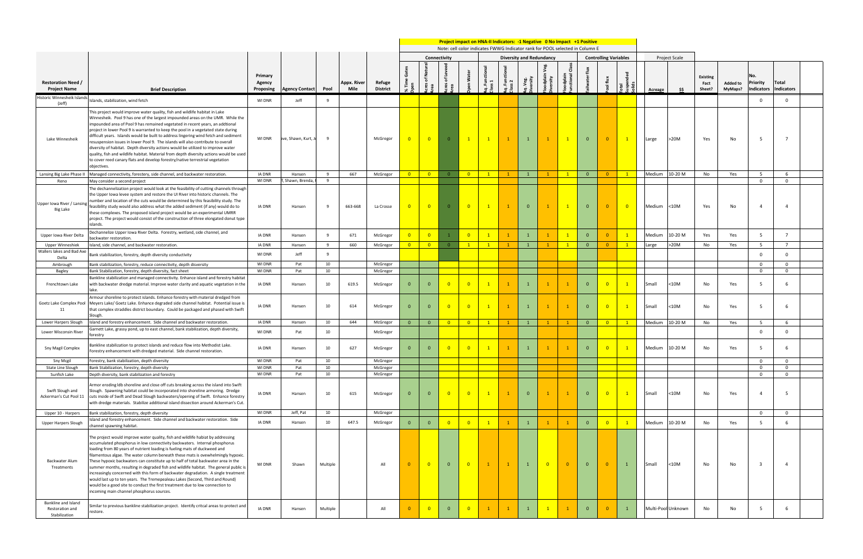**Project impact on HNA-II Indicators: -1 Negative 0 No Impact +1 Positive**

Note: cell color indicates FWWG Indicator rank for POOL selected in Column E

|                                                         |                                                                                                                                                                                                                                                                                                                                                                                                                                                                                                                                                                                                                                                                                                                                                                                                                 |                                |                            |          |                     |                           |                          |                         |                         |                         |              |              | NULC. CCII COIDI THUICULCS I NINO IHUICULOI TUIIN IUI TOOL SCICCLCU III COIUIIIII |                |                  |                         |                              |                         |         |                      |                                   |                            |                                      |                            |
|---------------------------------------------------------|-----------------------------------------------------------------------------------------------------------------------------------------------------------------------------------------------------------------------------------------------------------------------------------------------------------------------------------------------------------------------------------------------------------------------------------------------------------------------------------------------------------------------------------------------------------------------------------------------------------------------------------------------------------------------------------------------------------------------------------------------------------------------------------------------------------------|--------------------------------|----------------------------|----------|---------------------|---------------------------|--------------------------|-------------------------|-------------------------|-------------------------|--------------|--------------|-----------------------------------------------------------------------------------|----------------|------------------|-------------------------|------------------------------|-------------------------|---------|----------------------|-----------------------------------|----------------------------|--------------------------------------|----------------------------|
| <b>Restoration Need /</b><br><b>Project Name</b>        | <b>Brief Description</b>                                                                                                                                                                                                                                                                                                                                                                                                                                                                                                                                                                                                                                                                                                                                                                                        | Primary<br>Agency<br>Proposing | <b>Agency Contact</b>      | Pool     | Appx. River<br>Mile | Refuge<br><b>District</b> |                          |                         | Connectivity            |                         |              | $\sim$       | <b>Diversity and Redundancy</b>                                                   |                |                  | -                       | <b>Controlling Variables</b> |                         | Acreage | <b>Project Scale</b> | <b>Existing</b><br>Fact<br>Sheet? | <b>Added to</b><br>MyMaps? | No.<br><b>Priority</b><br>Indicators | Total<br><b>Indicators</b> |
| Historic Winnesheik Islands<br>(Jeff)                   | slands, stabilization, wind fetch                                                                                                                                                                                                                                                                                                                                                                                                                                                                                                                                                                                                                                                                                                                                                                               | WI DNR                         | Jeff                       | 9        |                     |                           |                          |                         |                         |                         |              |              |                                                                                   |                |                  |                         |                              |                         |         |                      |                                   |                            | $\mathbf 0$                          | $\mathbf 0$                |
| Lake Winnesheik                                         | This project would improve water quality, fish and wildlife habitat in Lake<br>Winnesheik. Pool 9 has one of the largest impounded areas on the UMR. While the<br>impounded area of Pool 9 has remained vegetated in recent years, an addtional<br>project in lower Pool 9 is warranted to keep the pool in a vegetated state during<br>difficult years. Islands would be built to address lingering wind fetch and sediment<br>resuspension issues in lower Pool 9. The islands will also contribute to overall<br>diversity of habitat. Depth diversity actions would be utilized to improve water<br>quality, fish and wildlife habitat. Material from depth diversity actions would be used<br>to cover reed canary flats and develop forestry/native terrestrial vegetation<br>objectives.                 | WI DNR                         | ave, Shawn, Kurt, J        | - 9      |                     | McGregor                  | $\overline{\phantom{0}}$ | $\overline{\mathbf{0}}$ | $\overline{0}$          | $\mathbf{1}$            |              |              |                                                                                   |                |                  | $\mathbf{0}$            | $\Omega$                     | $\sqrt{1}$              | Large   | >20M                 | Yes                               | No                         | -5                                   | $\overline{7}$             |
| Lansing Big Lake Phase II                               | Managed connectivity, forestery, side channel, and backwater restoration.                                                                                                                                                                                                                                                                                                                                                                                                                                                                                                                                                                                                                                                                                                                                       | <b>IA DNR</b>                  | Hansen                     | - 9      | 667                 | McGregor                  |                          |                         | $\overline{0}$          | $\overline{\mathbf{0}}$ | $\mathbf{1}$ | $\mathbf{1}$ | $\mathbf{1}$                                                                      |                |                  | $\overline{\mathbf{0}}$ | $\overline{\mathbf{0}}$      | $\sqrt{1}$              | Medium  | 10-20 M              | No                                | Yes                        | - 5                                  | 6                          |
| Reno<br>Upper Iowa River / Lansin<br>Big Lake           | May consider a second project<br>The dechannelization project would look at the feasibility of cutting channels through<br>the Upper Iowa levee system and restore the UI River into historic channels. The<br>number and location of the cuts would be determined by this feasibility study. The<br>feasibility study would also address what the added sediment (if any) would do to<br>these complexes. The proposed island project would be an experimental UMRR<br>project. The project would consist of the construction of three elongated donut type<br>islands.                                                                                                                                                                                                                                        | WI DNR<br><b>IA DNR</b>        | , Shawn, Brenda,<br>Hansen | 9<br>- 9 | 663-668             | La Crosse                 | $\overline{0}$           | $\overline{0}$          | $\Omega$                | $\overline{0}$          |              |              |                                                                                   |                |                  | $\mathbf{0}$            |                              | $\overline{\mathbf{0}}$ | Medium  | $<$ 10M              | Yes                               | No                         | $\mathbf 0$<br>Δ                     | $\overline{0}$<br>$\Delta$ |
| Upper Iowa River Delta                                  | Dechannelize Upper Iowa River Delta. Forestry, wetland, side channel, and<br>backwater restoration.                                                                                                                                                                                                                                                                                                                                                                                                                                                                                                                                                                                                                                                                                                             | <b>IA DNR</b>                  | Hansen                     | -9       | 671                 | McGregor                  | $\overline{\mathbf{0}}$  | $\overline{0}$          |                         | $\overline{0}$          |              |              | $\mathbf{1}$                                                                      |                |                  | $\overline{\mathbf{0}}$ | $\Omega$                     | $\overline{1}$          | Medium  | 10-20 M              | Yes                               | Yes                        | -5                                   | $\overline{7}$             |
| Upper Winneshiek                                        | Island, side channel, and backwater restoration.                                                                                                                                                                                                                                                                                                                                                                                                                                                                                                                                                                                                                                                                                                                                                                | IA DNR                         | Hansen                     | - 9      | 660                 | McGregor                  | $\overline{\mathbf{0}}$  | $\overline{\mathbf{0}}$ |                         | $\mathbf{1}$            | $\mathbf{1}$ | $\mathbf{1}$ | $\mathbf{1}$                                                                      |                | $\blacksquare$ 1 | $\overline{\mathbf{0}}$ | 0                            | $\mathbf{1}$            | Large   | >20M                 | No                                | Yes                        | 5                                    | $\overline{7}$             |
| Wallers lakes and Bad Axe<br>Delta                      | Bank stabilization, forestry, depth diversity conductivity                                                                                                                                                                                                                                                                                                                                                                                                                                                                                                                                                                                                                                                                                                                                                      | WI DNR                         | Jeff                       | 9        |                     |                           |                          |                         |                         |                         |              |              |                                                                                   |                |                  |                         |                              |                         |         |                      |                                   |                            | $\Omega$                             | $\mathbf 0$                |
| Ambrough                                                | Bank stabilization, forestry, reduce connectivity, depth disversity                                                                                                                                                                                                                                                                                                                                                                                                                                                                                                                                                                                                                                                                                                                                             | WI DNR                         | Pat                        | 10       |                     | McGregor                  |                          |                         |                         |                         |              |              |                                                                                   |                |                  |                         |                              |                         |         |                      |                                   |                            | $\overline{0}$                       | $\mathbf 0$                |
| Bagley                                                  | Bank Stabilization, forestry, depth diversity, fact sheet                                                                                                                                                                                                                                                                                                                                                                                                                                                                                                                                                                                                                                                                                                                                                       | <b>WI DNR</b>                  | Pat                        | 10       |                     | McGregor                  |                          |                         |                         |                         |              |              |                                                                                   |                |                  |                         |                              |                         |         |                      |                                   |                            | $\mathbf{0}$                         | $\overline{0}$             |
| Frenchtown Lake                                         | Bankline stabilization and managed connectivity. Enhance island and forestry habitat<br>with backwater dredge material. Improve water clarity and aquatic vegetation in the<br>lake.                                                                                                                                                                                                                                                                                                                                                                                                                                                                                                                                                                                                                            | <b>IA DNR</b>                  | Hansen                     | 10       | 619.5               | McGregor                  | $\mathbf{0}$             | $\Omega$                | $\overline{0}$          | $\overline{0}$          |              |              |                                                                                   |                |                  | $\Omega$                | $\overline{0}$               | $\overline{1}$          | Small   | 10M                  | No                                | Yes                        | 5                                    | 6                          |
| 11                                                      | Armour shoreline to protect islands. Enhance forestry with material dredged from<br>Goetz Lake Complex Pool   Meyers Lake/ Goetz Lake. Enhance degraded side channel habitat. Potential issue is<br>that complex straddles district boundary. Could be packaged and phased with Swift<br>Slough.                                                                                                                                                                                                                                                                                                                                                                                                                                                                                                                | <b>IA DNR</b>                  | Hansen                     | 10       | 614                 | McGregor                  | $\overline{0}$           | $\Omega$                | $\overline{0}$          | $\overline{0}$          |              |              |                                                                                   |                |                  | $\mathbf{0}$            | $\overline{0}$               | $\sqrt{1}$              | Small   | $10M$                | No                                | Yes                        | -5                                   | - 6                        |
| Lower Harpers Slough                                    | Island and forestry enhancement. Side channel and backwater restoration.                                                                                                                                                                                                                                                                                                                                                                                                                                                                                                                                                                                                                                                                                                                                        | <b>IA DNR</b>                  | Hansen                     | 10       | 644                 | McGregor                  | $\overline{0}$           | $\overline{0}$          | $\overline{\mathbf{0}}$ | $\overline{\mathbf{0}}$ | $\mathbf{1}$ | $\mathbf{1}$ | $\mathbf{1}$                                                                      |                | $\blacksquare$   | $\overline{\mathbf{0}}$ | $\overline{0}$               | $\mathbf{1}$            | Medium  | 10-20 M              | No                                | Yes                        | 5                                    | 6                          |
| Lower Wisconsin River                                   | Garnett Lake, grassy pond, up to east channel, bank stabilization, depth diversity,<br>forestry                                                                                                                                                                                                                                                                                                                                                                                                                                                                                                                                                                                                                                                                                                                 | WI DNR                         | Pat                        | 10       |                     | McGregor                  |                          |                         |                         |                         |              |              |                                                                                   |                |                  |                         |                              |                         |         |                      |                                   |                            | $\Omega$                             | $\Omega$                   |
| Sny Magil Complex                                       | Bankline stabilization to protect islands and reduce flow into Methodist Lake.<br>Forestry enhancement with dredged material. Side channel restoration.                                                                                                                                                                                                                                                                                                                                                                                                                                                                                                                                                                                                                                                         | IA DNR                         | Hansen                     | 10       | 627                 | McGregor                  | $\mathbf{0}$             | $\Omega$                | $\overline{0}$          | $\overline{0}$          |              |              |                                                                                   |                |                  | $\mathbf{0}$            | $\overline{0}$               | $\mathbf{1}$            | Medium  | 10-20 M              | No                                | Yes                        |                                      | -6                         |
| Sny Mcgil                                               | Forestry, bank stabilization, depth diversity                                                                                                                                                                                                                                                                                                                                                                                                                                                                                                                                                                                                                                                                                                                                                                   | WI DNR                         | Pat                        | 10       |                     | McGregor                  |                          |                         |                         |                         |              |              |                                                                                   |                |                  |                         |                              |                         |         |                      |                                   |                            | $\Omega$                             | $\mathbf 0$                |
| State Line Slough                                       | Bank Stabilization, forestry, depth diversity                                                                                                                                                                                                                                                                                                                                                                                                                                                                                                                                                                                                                                                                                                                                                                   | WI DNR                         | Pat                        | 10       |                     | McGregor                  |                          |                         |                         |                         |              |              |                                                                                   |                |                  |                         |                              |                         |         |                      |                                   |                            | 0                                    | $^{\circ}$                 |
| Sunfish Lake                                            | Depth diversity, bank stabilization and forestry                                                                                                                                                                                                                                                                                                                                                                                                                                                                                                                                                                                                                                                                                                                                                                | <b>WI DNR</b>                  | Pat                        | 10       |                     | McGregor                  |                          |                         |                         |                         |              |              |                                                                                   |                |                  |                         |                              |                         |         |                      |                                   |                            | $\mathbf{0}$                         | $^{\circ}$                 |
| Swift Slough and<br>Ackerman's Cut Pool 11              | Armor eroding Idb shoreline and close off cuts breaking across the island into Swift<br>Slough. Spawning habitat could be incorporated into shoreline armoring. Dredge<br>cuts inside of Swift and Dead Slough backwaters/opening of Swift. Enhance forestry<br>with dredge materials. Stabilize additional island dissection around Ackerman's Cut.                                                                                                                                                                                                                                                                                                                                                                                                                                                            | <b>IA DNR</b>                  | Hansen                     | 10       | 615                 | McGregor                  | $\mathbf{0}$             | $\Omega$                | $\overline{0}$          | $\overline{0}$          |              |              | $\mathbf{0}$                                                                      |                |                  | $\overline{0}$          | $\overline{0}$               | $\mathbf{1}$            | Small   | $<$ 10M              | No                                | Yes                        | Δ                                    | 5                          |
| Upper 10 - Harpers                                      | Bank stabilization, forestry, depth diversity                                                                                                                                                                                                                                                                                                                                                                                                                                                                                                                                                                                                                                                                                                                                                                   | WI DNR                         | Jeff, Pat                  | 10       |                     | McGregor                  |                          |                         |                         |                         |              |              |                                                                                   |                |                  |                         |                              |                         |         |                      |                                   |                            | $\overline{0}$                       | $\mathbf 0$                |
| <b>Upper Harpers Slough</b>                             | Island and forestry enhancement. Side channel and backwater restoration. Side<br>channel spawning habitat.                                                                                                                                                                                                                                                                                                                                                                                                                                                                                                                                                                                                                                                                                                      | IA DNR                         | Hansen                     | 10       | 647.5               | McGregor                  | $\overline{0}$           | $\Omega$                | $\overline{0}$          | $\overline{0}$          |              |              |                                                                                   |                |                  | $\overline{\mathbf{0}}$ | $\overline{0}$               | $\mathbf{1}$            | Medium  | 10-20 M              | No                                | Yes                        | -5                                   | 6                          |
| Backwater Alum<br>Treatments                            | The project would improve water quality, fish and wildlife habiat by addressing<br>accumulated phosphorus in low connectivity backwaters. Internal phosphorus<br>loading from 80 years of nutrient loading is fueling mats of duckweed and<br>filamentous algae. The water column beneath these mats is ovewhelmingly hypoxic.<br>These hypoxic backwaters can constitute up to half of total backwater area in the<br>summer months, resulting in degraded fish and wildlife habitat. The general public is<br>increasingly concerned with this form of backwater degradation. A single treatment<br>would last up to ten years. The Tremepealeau Lakes (Second, Third and Round)<br>would be a good site to conduct the first treatment due to low connection to<br>incoming main channel phosphorus sources. | WI DNR                         | Shawn                      | Multiple |                     | All                       | $\Omega$                 | $\overline{0}$          | $\overline{0}$          | $\overline{0}$          |              |              |                                                                                   | $\overline{0}$ | $\Omega$         | $\overline{0}$          | $\overline{0}$               | <sup>1</sup>            | Small   | $<$ 10M              | No                                | No                         | - 3                                  | $\overline{a}$             |
| Bankline and Island<br>Restoration and<br>Stabilization | Similar to previous bankline stabilization project. Identify critcal areas to protect and<br>restore.                                                                                                                                                                                                                                                                                                                                                                                                                                                                                                                                                                                                                                                                                                           | IA DNR                         | Hansen                     | Multiple |                     | All                       | $\overline{0}$           | $\overline{\mathbf{0}}$ | $\overline{0}$          | $\overline{0}$          |              |              | -1                                                                                |                |                  | $\overline{0}$          | $\Omega$                     | $\mathbf{1}$            |         | Multi-Pool Unknown   | No                                | No                         | -5                                   | 6                          |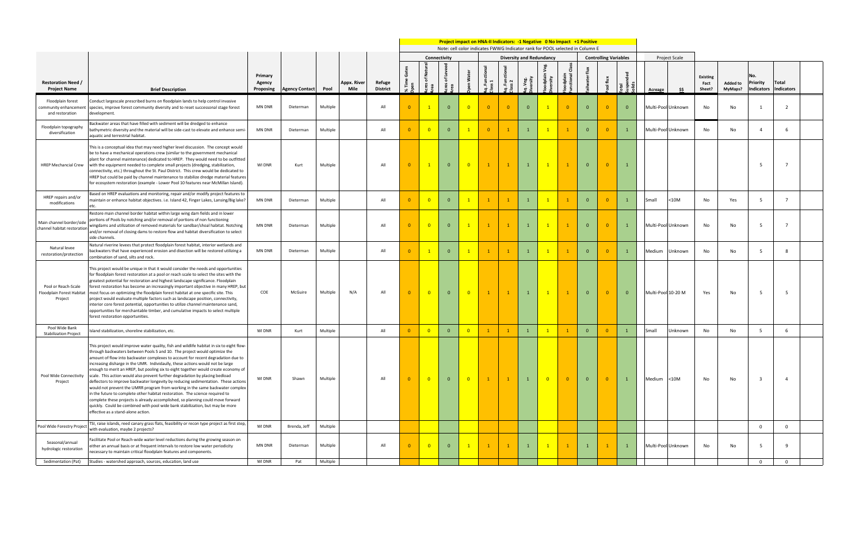|                                                               |                                                                                                                                                                                                                                                                                                                                                                                                                                                                                                                                                                                                                                                                                                                                                                                                                                                                                                                                                                                     |                                |                       |          |                     |                           | Project impact on HNA-II Indicators: -1 Negative 0 No Impact +1 Positive<br>Note: cell color indicates FWWG Indicator rank for POOL selected in Column E<br>Connectivity<br><b>Diversity and Redundancy</b><br><b>Controlling Variables</b> |                         |                |                            |                |              |                |                         |                |                |                |                |               |                      |                                   |                            |                                             |                            |  |
|---------------------------------------------------------------|-------------------------------------------------------------------------------------------------------------------------------------------------------------------------------------------------------------------------------------------------------------------------------------------------------------------------------------------------------------------------------------------------------------------------------------------------------------------------------------------------------------------------------------------------------------------------------------------------------------------------------------------------------------------------------------------------------------------------------------------------------------------------------------------------------------------------------------------------------------------------------------------------------------------------------------------------------------------------------------|--------------------------------|-----------------------|----------|---------------------|---------------------------|---------------------------------------------------------------------------------------------------------------------------------------------------------------------------------------------------------------------------------------------|-------------------------|----------------|----------------------------|----------------|--------------|----------------|-------------------------|----------------|----------------|----------------|----------------|---------------|----------------------|-----------------------------------|----------------------------|---------------------------------------------|----------------------------|--|
|                                                               |                                                                                                                                                                                                                                                                                                                                                                                                                                                                                                                                                                                                                                                                                                                                                                                                                                                                                                                                                                                     |                                |                       |          |                     |                           |                                                                                                                                                                                                                                             |                         |                |                            |                |              |                |                         |                |                |                |                |               | <b>Project Scale</b> |                                   |                            |                                             |                            |  |
| <b>Restoration Need /</b><br><b>Project Name</b>              | <b>Brief Description</b>                                                                                                                                                                                                                                                                                                                                                                                                                                                                                                                                                                                                                                                                                                                                                                                                                                                                                                                                                            | Primary<br>Agency<br>Proposing | <b>Agency Contact</b> | Pool     | Appx. River<br>Mile | Refuge<br><b>District</b> |                                                                                                                                                                                                                                             |                         |                | <b>Nat</b>                 | H              |              |                |                         |                | $\tilde{e}$    | ∓              |                | Acreage       |                      | <b>Existing</b><br>Fact<br>Sheet? | <b>Added to</b><br>MyMaps? | Ν٥.<br><b>Priority</b><br><b>Indicators</b> | Total<br><b>Indicators</b> |  |
| Floodplain forest<br>community enhancement<br>and restoration | Conduct largescale prescribed burns on floodplain lands to help control invasive<br>species, improve forest community diversity and to reset successonal stage forest<br>development.                                                                                                                                                                                                                                                                                                                                                                                                                                                                                                                                                                                                                                                                                                                                                                                               | MN DNR                         | Dieterman             | Multiple |                     | All                       |                                                                                                                                                                                                                                             |                         | $\Omega$       | $\overline{0}$             | $\Omega$       | - 0          | $\Omega$       |                         | $\Omega$       | $\Omega$       |                | $\Omega$       |               | Multi-Pool Unknown   | No                                | No                         |                                             | 2                          |  |
| Floodplain topography<br>diversification                      | Backwater areas that have filled with sediment will be dredged to enhance<br>bathymetric diversity and the material will be side-cast to elevate and enhance semi<br>aquatic and terrestrial habitat.                                                                                                                                                                                                                                                                                                                                                                                                                                                                                                                                                                                                                                                                                                                                                                               | <b>MN DNR</b>                  | Dieterman             | Multiple |                     | All                       |                                                                                                                                                                                                                                             | $\overline{0}$          | $\overline{0}$ | $\overline{1}$             | $\overline{0}$ |              |                |                         |                | $\mathbf{0}$   | $\overline{0}$ | $\mathbf{1}$   |               | Multi-Pool Unknown   | No                                | No                         |                                             | - 6                        |  |
| <b>HREP Mechancial Crew</b>                                   | This is a conceptual idea that may need higher level discussion. The concept would<br>be to have a mechanical operations crew (similar to the government mechanical<br>plant for channel maintenance) dedicated to HREP. They would need to be outfitted<br>with the equipment needed to complete small projects (dredging, stabilization,<br>connectivity, etc.) throughout the St. Paul District. This crew would be dedicated to<br>HREP but could be paid by channel maintenance to stabilize dredge material features<br>for ecosystem restoration (example - Lower Pool 10 features near McMillan Island).                                                                                                                                                                                                                                                                                                                                                                    | <b>WI DNR</b>                  | Kurt                  | Multiple |                     | All                       | $\Omega$                                                                                                                                                                                                                                    | $\overline{1}$          | $\Omega$       | $\overline{\phantom{0}}$ 0 | $\mathbf{1}$   | $\mathbf{1}$ |                | $\mathbf{1}$            |                | $\Omega$       | $\overline{0}$ |                |               |                      |                                   |                            | -5                                          | $\overline{7}$             |  |
| HREP repairs and/or<br>modifications                          | Based on HREP evaluations and monitoring, repair and/or modify project features to<br>maintain or enhance habitat objectives. i.e. Island 42, Finger Lakes, Lansing/Big lake?<br>etc.                                                                                                                                                                                                                                                                                                                                                                                                                                                                                                                                                                                                                                                                                                                                                                                               | MN DNR                         | Dieterman             | Multiple |                     | All                       |                                                                                                                                                                                                                                             | $^{\circ}$ 0            | $\overline{0}$ | $\overline{1}$             | $\blacksquare$ |              |                |                         |                | $\Omega$       | $\Omega$       | $\mathbf{1}$   | Small         | <10M                 | No                                | Yes                        | 5                                           | $\overline{7}$             |  |
| Main channel border/side<br>channel habitat restoration       | Restore main channel border habitat within large wing dam fields and in lower<br>portions of Pools by notching and/or removal of portions of non functioning<br>wingdams and utilization of removed materials for sandbar/shoal habitat. Notching<br>and/or removal of closing dams to restore flow and habitat diversification to select<br>side channels.                                                                                                                                                                                                                                                                                                                                                                                                                                                                                                                                                                                                                         | <b>MN DNR</b>                  | Dieterman             | Multiple |                     | All                       |                                                                                                                                                                                                                                             | $\overline{0}$          | $\Omega$       | $\overline{1}$             |                |              |                |                         |                | $\mathbf{0}$   | $\overline{0}$ | $\overline{1}$ |               | Multi-Pool Unknown   | No                                | No                         | -5                                          | $\overline{7}$             |  |
| Natural levee<br>restoration/protection                       | Natural riverine levees that protect floodplain forest habitat, interior wetlands and<br>packwaters that have experienced erosion and disection will be restored utilizing a<br>combination of sand, silts and rock.                                                                                                                                                                                                                                                                                                                                                                                                                                                                                                                                                                                                                                                                                                                                                                | MN DNR                         | Dieterman             | Multiple |                     | All                       |                                                                                                                                                                                                                                             |                         | $\overline{0}$ | $\overline{1}$             | $\overline{1}$ |              |                |                         |                | $\Omega$       | $\overline{0}$ | $\overline{1}$ | <b>Medium</b> | Unknown              | No                                | No                         | -5                                          | - 8                        |  |
| Pool or Reach-Scale<br>Floodplain Forest Habitat<br>Project   | This project would be unique in that it would consider the needs and opportunities<br>for floodplain forest restoration at a pool or reach scale to select the sites with the<br>greatest potential for restoration and highest landscape significance. Floodplain<br>forest restoration has become an increasingly important objective in many HREP, but<br>most focus on optimizing the floodplain forest habitat at one specific site. This<br>project would evaluate multiple factors such as landscape position, connectivity,<br>interior core forest potential, opportunities to utilize channel maintenance sand,<br>opportunities for merchantable timber, and cumulative impacts to select multiple<br>forest restoration opportunities.                                                                                                                                                                                                                                  | COE                            | McGuire               | Multiple | N/A                 | All                       | $\Omega$                                                                                                                                                                                                                                    | $\overline{0}$          | $\overline{0}$ | $\overline{0}$             | $\mathbf{1}$   | $\mathbf{1}$ |                | $\mathbf{1}$            |                | $\Omega$       | $\overline{0}$ | $\Omega$       |               | Multi-Pool 10-20 M   | Yes                               | No                         | -5                                          | - 5                        |  |
| Pool Wide Bank<br><b>Stabilization Project</b>                | sland stabilization, shoreline stabilization, etc.                                                                                                                                                                                                                                                                                                                                                                                                                                                                                                                                                                                                                                                                                                                                                                                                                                                                                                                                  | <b>WI DNR</b>                  | Kurt                  | Multiple |                     | All                       |                                                                                                                                                                                                                                             | $\overline{\mathbf{0}}$ | $\overline{0}$ | $\overline{0}$             | $\mathbf{1}$   |              | $\overline{1}$ | $\overline{1}$          | $\mathbf{1}$   | $\mathbf{0}$   | $\overline{0}$ | $\mathbf{1}$   | Small         | Jnknown              | No                                | No                         | -5                                          | 6                          |  |
| Pool Wide Connectivity<br>Project                             | This project would improve water quality, fish and wildlife habitat in six to eight flow-<br>through backwaters between Pools 5 and 10. The project would optimize the<br>amount of flow into backwater complexes to account for recent degradation due to<br>increasing disharge in the UMR. Individaully, these actions would not be large<br>enough to merit an HREP, but pooling six to eight together would create economy of<br>scale. This action would also prevent further degradation by placing bedload<br>deflectors to improve backwater longevity by reducing sedimentation. These actions<br>would not prevent the UMRR program from working in the same backwater complex<br>in the future to complete other habitat restoration. The science required to<br>complete these projects is already accomplished, so planning could move forward<br>quickly. Could be combined with pool wide bank stabilization, but may be more<br>effective as a stand-alone action. | WI DNR                         | Shawn                 | Multiple |                     | All                       | $\Omega$                                                                                                                                                                                                                                    | $\overline{\mathbf{0}}$ | $\overline{0}$ | $\overline{\phantom{0}}$   | $\mathbf{1}$   | $\mathbf{1}$ |                | $\overline{\mathbf{0}}$ | $\overline{0}$ | $\overline{0}$ | $\overline{0}$ | $\mathbf{1}$   | Medium        | $<$ 10M              | No                                | No                         | $\overline{\mathbf{3}}$                     | -4                         |  |
| Pool Wide Forestry Project                                    | TSI, raise islands, reed canary grass flats, feasibility or recon type project as first step,<br>with evaluation, maybe 2 projects?                                                                                                                                                                                                                                                                                                                                                                                                                                                                                                                                                                                                                                                                                                                                                                                                                                                 | WI DNR                         | Brenda, Jeff          | Multiple |                     |                           |                                                                                                                                                                                                                                             |                         |                |                            |                |              |                |                         |                |                |                |                |               |                      |                                   |                            | $\mathbf 0$                                 | $\mathbf 0$                |  |
| Seasonal/annual<br>hydrologic restoration                     | Facilitate Pool or Reach-wide water level reductions during the growing season on<br>either an annual basis or at frequent intervals to restore low water periodicity<br>necessary to maintain critical floodplain features and components.                                                                                                                                                                                                                                                                                                                                                                                                                                                                                                                                                                                                                                                                                                                                         | MN DNR                         | Dieterman             | Multiple |                     | All                       |                                                                                                                                                                                                                                             | $^{\circ}$ 0            | $\Omega$       | $\mathbf{1}$               | $\mathbf{1}$   |              |                |                         |                |                |                |                |               | Multi-Pool Unknown   | No                                | No                         | -5                                          | 9                          |  |
| Sedimentation (Pat)                                           | Studies - watershed approach, sources, education, land use                                                                                                                                                                                                                                                                                                                                                                                                                                                                                                                                                                                                                                                                                                                                                                                                                                                                                                                          | WI DNR                         | Pat                   | Multiple |                     |                           |                                                                                                                                                                                                                                             |                         |                |                            |                |              |                |                         |                |                |                |                |               |                      |                                   |                            |                                             | $\overline{0}$             |  |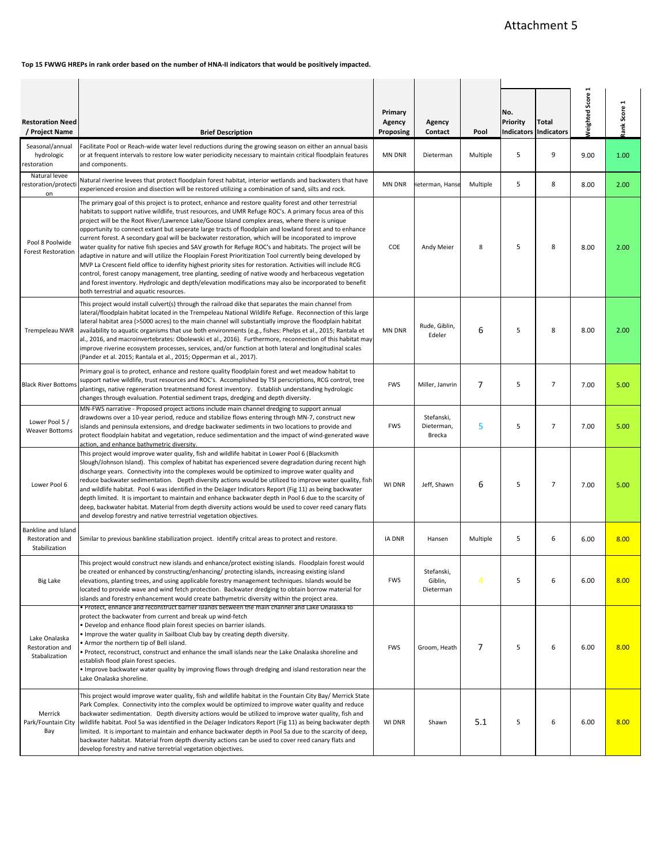<span id="page-30-0"></span>**Top 15 FWWG HREPs in rank order based on the number of HNA-II indicators that would be positively impacted.**

| <b>Restoration Need</b><br>/ Project Name               | <b>Brief Description</b>                                                                                                                                                                                                                                                                                                                                                                                                                                                                                                                                                                                                                                                                                                                                                                                                                                                                                                                                                                                                                                                                                                                      | Primary<br>Agency<br>Proposing | Agency<br>Contact                  | Pool           | No.<br>Priority<br><b>Indicators</b> | Total<br><b>Indicators</b> | <b>Veighted Score 1</b> | ank Score 1 |
|---------------------------------------------------------|-----------------------------------------------------------------------------------------------------------------------------------------------------------------------------------------------------------------------------------------------------------------------------------------------------------------------------------------------------------------------------------------------------------------------------------------------------------------------------------------------------------------------------------------------------------------------------------------------------------------------------------------------------------------------------------------------------------------------------------------------------------------------------------------------------------------------------------------------------------------------------------------------------------------------------------------------------------------------------------------------------------------------------------------------------------------------------------------------------------------------------------------------|--------------------------------|------------------------------------|----------------|--------------------------------------|----------------------------|-------------------------|-------------|
| Seasonal/annual<br>hydrologic<br>restoration            | Facilitate Pool or Reach-wide water level reductions during the growing season on either an annual basis<br>or at frequent intervals to restore low water periodicity necessary to maintain critical floodplain features<br>and components.                                                                                                                                                                                                                                                                                                                                                                                                                                                                                                                                                                                                                                                                                                                                                                                                                                                                                                   | <b>MN DNR</b>                  | Dieterman                          | Multiple       | 5                                    | 9                          | 9.00                    | 1.00        |
| Natural levee<br>restoration/protect<br>on              | Natural riverine levees that protect floodplain forest habitat, interior wetlands and backwaters that have<br>experienced erosion and disection will be restored utilizing a combination of sand, silts and rock.                                                                                                                                                                                                                                                                                                                                                                                                                                                                                                                                                                                                                                                                                                                                                                                                                                                                                                                             | MN DNR                         | ieterman, Hanse                    | Multiple       | 5                                    | 8                          | 8.00                    | 2.00        |
| Pool 8 Poolwide<br><b>Forest Restoration</b>            | The primary goal of this project is to protect, enhance and restore quality forest and other terrestrial<br>habitats to support native wildlife, trust resources, and UMR Refuge ROC's. A primary focus area of this<br>project will be the Root River/Lawrence Lake/Goose Island complex areas, where there is unique<br>opportunity to connect extant but seperate large tracts of floodplain and lowland forest and to enhance<br>current forest. A secondary goal will be backwater restoration, which will be incoporated to improve<br>water quality for native fish species and SAV growth for Refuge ROC's and habitats. The project will be<br>adaptive in nature and will utilize the Flooplain Forest Prioritization Tool currently being developed by<br>MVP La Crescent field office to idenfity highest priority sites for restoration. Activities will include RCG<br>control, forest canopy management, tree planting, seeding of native woody and herbaceous vegetation<br>and forest inventory. Hydrologic and depth/elevation modifications may also be incorporated to benefit<br>both terrestrial and aquatic resources. | COE                            | Andy Meier                         | 8              | 5                                    | 8                          | 8.00                    | 2.00        |
| Trempeleau NWR                                          | This project would install culvert(s) through the railroad dike that separates the main channel from<br>lateral/floodplain habitat located in the Trempeleau National Wildlife Refuge. Reconnection of this large<br>lateral habitat area (>5000 acres) to the main channel will substantially improve the floodplain habitat<br>availability to aquatic organisms that use both environments (e.g., fishes: Phelps et al., 2015; Rantala et<br>al., 2016, and macroinvertebrates: Obolewski et al., 2016). Furthermore, reconnection of this habitat may<br>improve riverine ecosystem processes, services, and/or function at both lateral and longitudinal scales<br>(Pander et al. 2015; Rantala et al., 2015; Opperman et al., 2017).                                                                                                                                                                                                                                                                                                                                                                                                    | MN DNR                         | Rude, Giblin,<br>Edeler            | 6              | 5                                    | 8                          | 8.00                    | 2.00        |
| <b>Black River Bottoms</b>                              | Primary goal is to protect, enhance and restore quality floodplain forest and wet meadow habitat to<br>support native wildlife, trust resources and ROC's. Accomplished by TSI perscriptions, RCG control, tree<br>plantings, native regeneration treatmentsand forest inventory. Establish understanding hydrologic<br>changes through evaluation. Potential sediment traps, dredging and depth diversity.                                                                                                                                                                                                                                                                                                                                                                                                                                                                                                                                                                                                                                                                                                                                   | <b>FWS</b>                     | Miller, Janvrin                    | $\overline{7}$ | 5                                    | $\overline{7}$             | 7.00                    | 5.00        |
| Lower Pool 5 /<br><b>Weaver Bottoms</b>                 | MN-FWS narrative - Proposed project actions include main channel dredging to support annual<br>drawdowns over a 10-year period, reduce and stabilize flows entering through MN-7, construct new<br>islands and peninsula extensions, and dredge backwater sediments in two locations to provide and<br>protect floodplain habitat and vegetation, reduce sedimentation and the impact of wind-generated wave<br>action, and enhance bathymetric diversity.                                                                                                                                                                                                                                                                                                                                                                                                                                                                                                                                                                                                                                                                                    | <b>FWS</b>                     | Stefanski,<br>Dieterman,<br>Brecka | 5              | 5                                    | $\overline{7}$             | 7.00                    | 5.00        |
| Lower Pool 6                                            | This project would improve water quality, fish and wildlife habitat in Lower Pool 6 (Blacksmith<br>Slough/Johnson Island). This complex of habitat has experienced severe degradation during recent high<br>discharge years. Connectivity into the complexes would be optimized to improve water quality and<br>reduce backwater sedimentation. Depth diversity actions would be utilized to improve water quality, fish<br>and wildlife habitat. Pool 6 was identified in the DeJager Indicators Report (Fig 11) as being backwater<br>depth limited. It is important to maintain and enhance backwater depth in Pool 6 due to the scarcity of<br>deep, backwater habitat. Material from depth diversity actions would be used to cover reed canary flats<br>and develop forestry and native terrestrial vegetation objectives.                                                                                                                                                                                                                                                                                                              | WI DNR                         | Jeff, Shawn                        | 6              | 5                                    | $\overline{7}$             | 7.00                    | 5.00        |
| Bankline and Island<br>Restoration and<br>Stabilization | Similar to previous bankline stabilization project. Identify critcal areas to protect and restore.                                                                                                                                                                                                                                                                                                                                                                                                                                                                                                                                                                                                                                                                                                                                                                                                                                                                                                                                                                                                                                            | IA DNR                         | Hansen                             | Multiple       | 5                                    | 6                          | 6.00                    | 8.00        |
| <b>Big Lake</b>                                         | This project would construct new islands and enhance/protect existing islands. Floodplain forest would<br>be created or enhanced by constructing/enhancing/ protecting islands, increasing existing island<br>elevations, planting trees, and using applicable forestry management techniques. Islands would be<br>located to provide wave and wind fetch protection. Backwater dredging to obtain borrow material for<br>islands and forestry enhancement would create bathymetric diversity within the project area.                                                                                                                                                                                                                                                                                                                                                                                                                                                                                                                                                                                                                        | <b>FWS</b>                     | Stefanski,<br>Giblin,<br>Dieterman | $\overline{4}$ | 5                                    | 6                          | 6.00                    | 8.00        |
| Lake Onalaska<br>Restoration and<br>Stabalization       | . Protect, enhance and reconstruct barrier islands between the main channel and Lake Onalaska to<br>protect the backwater from current and break up wind-fetch<br>· Develop and enhance flood plain forest species on barrier islands.<br>• Improve the water quality in Sailboat Club bay by creating depth diversity.<br>. Armor the northern tip of Bell island.<br>• Protect, reconstruct, construct and enhance the small islands near the Lake Onalaska shoreline and<br>establish flood plain forest species.<br>. Improve backwater water quality by improving flows through dredging and island restoration near the<br>Lake Onalaska shoreline.                                                                                                                                                                                                                                                                                                                                                                                                                                                                                     | <b>FWS</b>                     | Groom, Heath                       | 7              | 5                                    | 6                          | 6.00                    | 8.00        |
| Merrick<br>Park/Fountain City<br>Bay                    | This project would improve water quality, fish and wildlife habitat in the Fountain City Bay/ Merrick State<br>Park Complex. Connectivity into the complex would be optimized to improve water quality and reduce<br>backwater sedimentation. Depth diversity actions would be utilized to improve water quality, fish and<br>wildlife habitat. Pool 5a was identified in the DeJager Indicators Report (Fig 11) as being backwater depth<br>limited. It is important to maintain and enhance backwater depth in Pool 5a due to the scarcity of deep,<br>backwater habitat. Material from depth diversity actions can be used to cover reed canary flats and<br>develop forestry and native terretrial vegetation objectives.                                                                                                                                                                                                                                                                                                                                                                                                                 | WI DNR                         | Shawn                              | 5.1            | 5                                    | 6                          | 6.00                    | 8.00        |